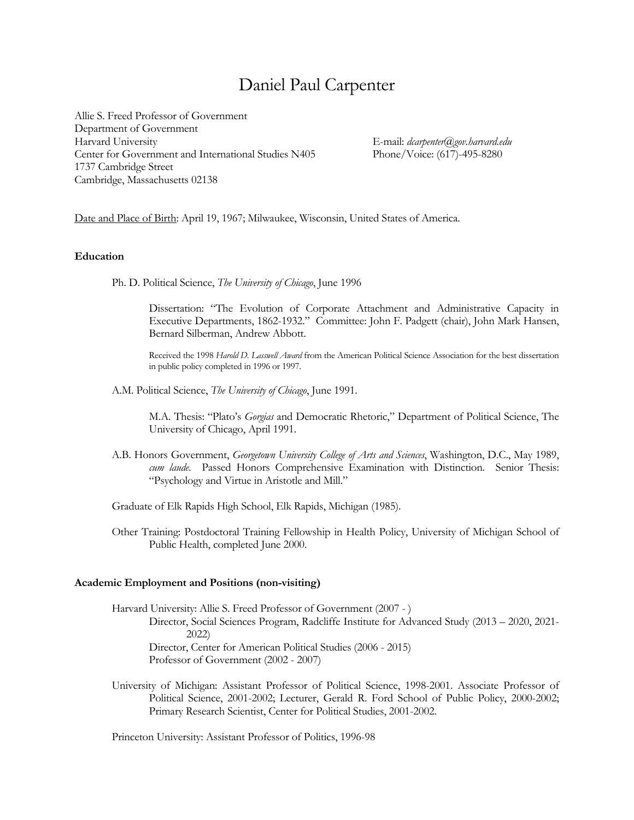# Daniel Paul Carpenter

Allie S. Freed Professor of Government Department of Government Harvard University E-mail: *dcarpenter@gov.harvard.edu* Center for Government and International Studies N405 1737 Cambridge Street Cambridge, Massachusetts 02138

Date and Place of Birth: April 19, 1967; Milwaukee, Wisconsin, United States of America.

## **Education**

Ph. D. Political Science, *The University of Chicago*, June 1996

Dissertation: "The Evolution of Corporate Attachment and Administrative Capacity in Executive Departments, 1862-1932." Committee: John F. Padgett (chair), John Mark Hansen, Bernard Silberman, Andrew Abbott.

Received the 1998 *Harold D. Lasswell Award* from the American Political Science Association for the best dissertation in public policy completed in 1996 or 1997.

A.M. Political Science, *The University of Chicago*, June 1991.

M.A. Thesis: "Plato's *Gorgias* and Democratic Rhetoric," Department of Political Science, The University of Chicago, April 1991.

- A.B. Honors Government, *Georgetown University College of Arts and Sciences*, Washington, D.C., May 1989, *cum laude*. Passed Honors Comprehensive Examination with Distinction. Senior Thesis: "Psychology and Virtue in Aristotle and Mill."
- Graduate of Elk Rapids High School, Elk Rapids, Michigan (1985).
- Other Training: Postdoctoral Training Fellowship in Health Policy, University of Michigan School of Public Health, completed June 2000.

#### **Academic Employment and Positions (non-visiting)**

Harvard University: Allie S. Freed Professor of Government (2007 - ) Director, Social Sciences Program, Radcliffe Institute for Advanced Study (2013 – 2020, 2021- 2022) Director, Center for American Political Studies (2006 - 2015) Professor of Government (2002 - 2007)

University of Michigan: Assistant Professor of Political Science, 1998-2001. Associate Professor of Political Science, 2001-2002; Lecturer, Gerald R. Ford School of Public Policy, 2000-2002; Primary Research Scientist, Center for Political Studies, 2001-2002.

Princeton University: Assistant Professor of Politics, 1996-98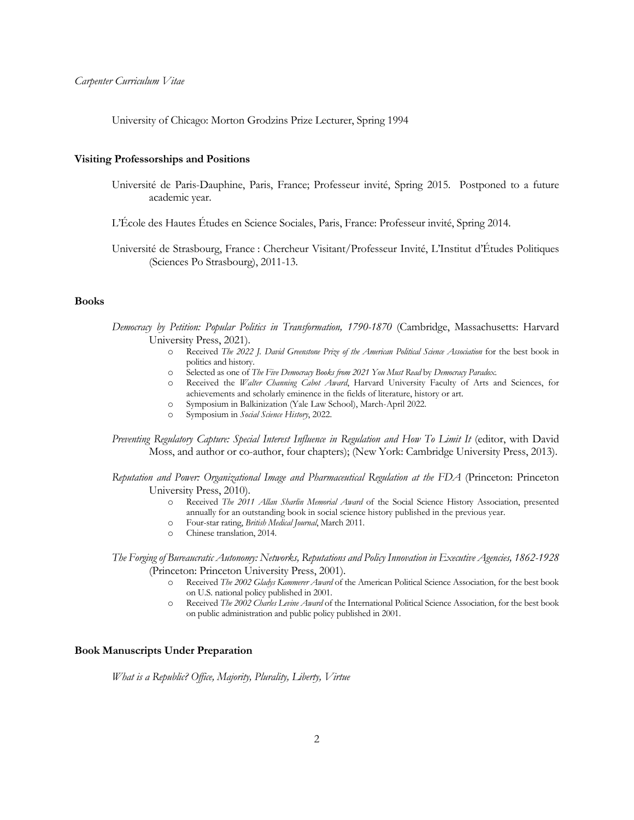University of Chicago: Morton Grodzins Prize Lecturer, Spring 1994

#### **Visiting Professorships and Positions**

- Université de Paris-Dauphine, Paris, France; Professeur invité, Spring 2015. Postponed to a future academic year.
- L'École des Hautes Études en Science Sociales, Paris, France: Professeur invité, Spring 2014.

Université de Strasbourg, France : Chercheur Visitant/Professeur Invité, L'Institut d'Études Politiques (Sciences Po Strasbourg), 2011-13.

#### **Books**

*Democracy by Petition: Popular Politics in Transformation, 1790-1870* (Cambridge, Massachusetts: Harvard University Press, 2021).

- o Received *The 2022 J. David Greenstone Prize of the American Political Science Association* for the best book in politics and history.
- o Selected as one of *The Five Democracy Books from 2021 You Must Read* by *Democracy Paradox*.
- o Received the *Walter Channing Cabot Award*, Harvard University Faculty of Arts and Sciences, for achievements and scholarly eminence in the fields of literature, history or art.
- o Symposium in Balkinization (Yale Law School), March-April 2022.
- o Symposium in *Social Science History*, 2022.

*Preventing Regulatory Capture: Special Interest Influence in Regulation and How To Limit It* (editor, with David Moss, and author or co-author, four chapters); (New York: Cambridge University Press, 2013).

*Reputation and Power: Organizational Image and Pharmaceutical Regulation at the FDA* (Princeton: Princeton University Press, 2010).

- o Received *The 2011 Allan Sharlin Memorial Award* of the Social Science History Association, presented annually for an outstanding book in social science history published in the previous year.
- o Four-star rating, *British Medical Journal*, March 2011.
- o Chinese translation, 2014.

*The Forging of Bureaucratic Autonomy: Networks, Reputations and Policy Innovation in Executive Agencies, 1862-1928* (Princeton: Princeton University Press, 2001).

- o Received *The 2002 Gladys Kammerer Award* of the American Political Science Association, for the best book on U.S. national policy published in 2001.
- o Received *The 2002 Charles Levine Award* of the International Political Science Association, for the best book on public administration and public policy published in 2001.

## **Book Manuscripts Under Preparation**

*What is a Republic? Office, Majority, Plurality, Liberty, Virtue*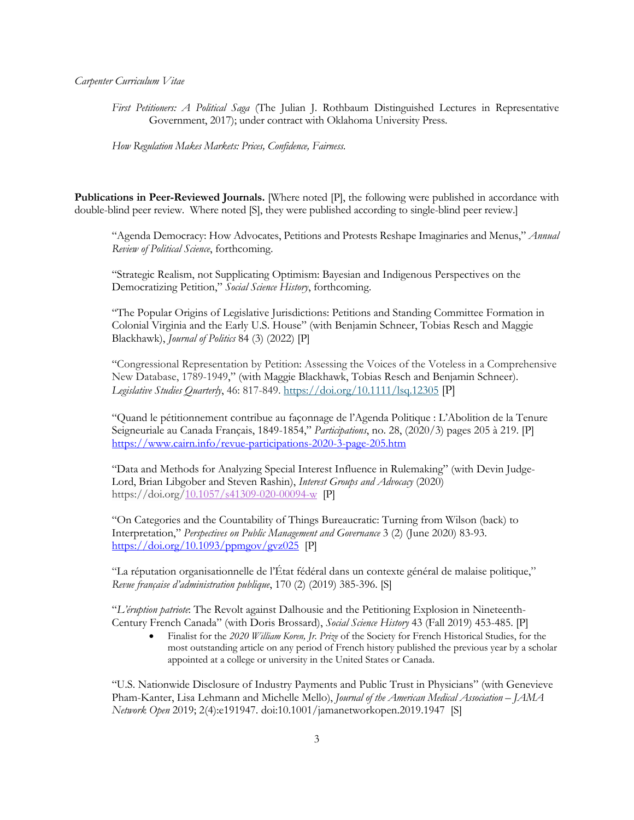*First Petitioners: A Political Saga* (The Julian J. Rothbaum Distinguished Lectures in Representative Government, 2017); under contract with Oklahoma University Press.

*How Regulation Makes Markets: Prices, Confidence, Fairness*.

**Publications in Peer-Reviewed Journals.** [Where noted [P], the following were published in accordance with double-blind peer review. Where noted [S], they were published according to single-blind peer review.]

"Agenda Democracy: How Advocates, Petitions and Protests Reshape Imaginaries and Menus," *Annual Review of Political Science*, forthcoming.

"Strategic Realism, not Supplicating Optimism: Bayesian and Indigenous Perspectives on the Democratizing Petition," *Social Science History*, forthcoming.

"The Popular Origins of Legislative Jurisdictions: Petitions and Standing Committee Formation in Colonial Virginia and the Early U.S. House" (with Benjamin Schneer, Tobias Resch and Maggie Blackhawk), *Journal of Politics* 84 (3) (2022) [P]

"Congressional Representation by Petition: Assessing the Voices of the Voteless in a Comprehensive New Database, 1789-1949," (with Maggie Blackhawk, Tobias Resch and Benjamin Schneer). *Legislative Studies Quarterly*, 46: 817-849. https://doi.org/10.1111/lsq.12305 [P]

"Quand le pétitionnement contribue au façonnage de l'Agenda Politique : L'Abolition de la Tenure Seigneuriale au Canada Français, 1849-1854," *Participations*, no. 28, (2020/3) pages 205 à 219. [P] https://www.cairn.info/revue-participations-2020-3-page-205.htm

"Data and Methods for Analyzing Special Interest Influence in Rulemaking" (with Devin Judge-Lord, Brian Libgober and Steven Rashin), *Interest Groups and Advocacy* (2020) https://doi.org/10.1057/s41309-020-00094-w [P]

"On Categories and the Countability of Things Bureaucratic: Turning from Wilson (back) to Interpretation," *Perspectives on Public Management and Governance* 3 (2) (June 2020) 83-93.  $\frac{\text{https://doi.org/10.1093/ppmgov/gvz025} }{$  [P]

"La réputation organisationnelle de l'État fédéral dans un contexte général de malaise politique," *Revue française d'administration publique*, 170 (2) (2019) 385-396. [S]

"*L'éruption patriote*: The Revolt against Dalhousie and the Petitioning Explosion in Nineteenth-Century French Canada" (with Doris Brossard), *Social Science History* 43 (Fall 2019) 453-485. [P]

• Finalist for the *2020 William Koren, Jr. Prize* of the Society for French Historical Studies, for the most outstanding article on any period of French history published the previous year by a scholar appointed at a college or university in the United States or Canada.

"U.S. Nationwide Disclosure of Industry Payments and Public Trust in Physicians" (with Genevieve Pham-Kanter, Lisa Lehmann and Michelle Mello), *Journal of the American Medical Association – JAMA Network Open* 2019; 2(4):e191947. doi:10.1001/jamanetworkopen.2019.1947 [S]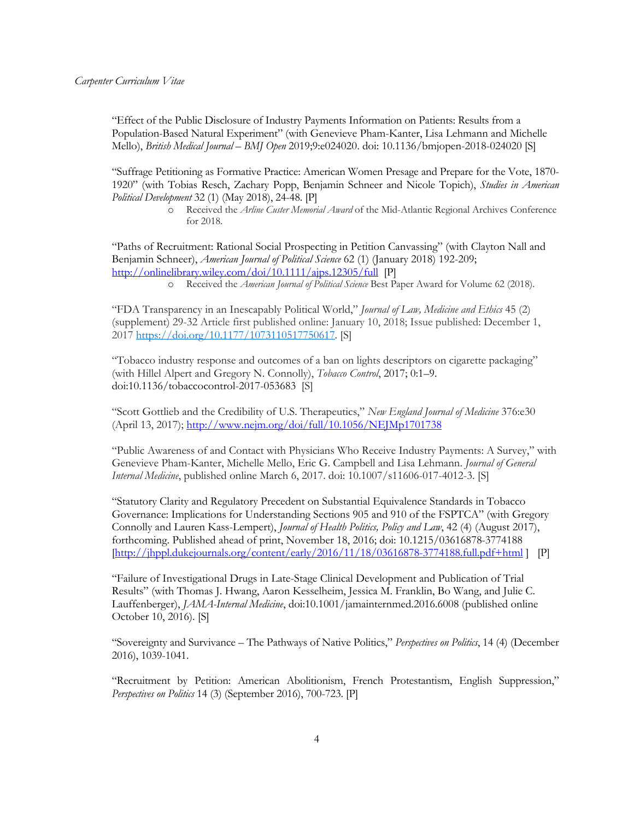"Effect of the Public Disclosure of Industry Payments Information on Patients: Results from a Population-Based Natural Experiment" (with Genevieve Pham-Kanter, Lisa Lehmann and Michelle Mello), *British Medical Journal* – *BMJ Open* 2019;9:e024020. doi: 10.1136/bmjopen-2018-024020 [S]

"Suffrage Petitioning as Formative Practice: American Women Presage and Prepare for the Vote, 1870- 1920" (with Tobias Resch, Zachary Popp, Benjamin Schneer and Nicole Topich), *Studies in American Political Development* 32 (1) (May 2018), 24-48. [P]

> o Received the *Arline Custer Memorial Award* of the Mid-Atlantic Regional Archives Conference for 2018.

"Paths of Recruitment: Rational Social Prospecting in Petition Canvassing" (with Clayton Nall and Benjamin Schneer), *American Journal of Political Science* 62 (1) (January 2018) 192-209; http://onlinelibrary.wiley.com/doi/10.1111/ajps.12305/full [P]

o Received the *American Journal of Political Science* Best Paper Award for Volume 62 (2018).

"FDA Transparency in an Inescapably Political World," *Journal of Law, Medicine and Ethics* 45 (2) (supplement) 29-32 Article first published online: January 10, 2018; Issue published: December 1, 2017 https://doi.org/10.1177/1073110517750617. [S]

"Tobacco industry response and outcomes of a ban on lights descriptors on cigarette packaging" (with Hillel Alpert and Gregory N. Connolly), *Tobacco Control*, 2017; 0:1–9. doi:10.1136/tobaccocontrol-2017-053683 [S]

"Scott Gottlieb and the Credibility of U.S. Therapeutics," *New England Journal of Medicine* 376:e30 (April 13, 2017); http://www.nejm.org/doi/full/10.1056/NEJMp1701738

"Public Awareness of and Contact with Physicians Who Receive Industry Payments: A Survey," with Genevieve Pham-Kanter, Michelle Mello, Eric G. Campbell and Lisa Lehmann. *Journal of General Internal Medicine*, published online March 6, 2017. doi: 10.1007/s11606-017-4012-3. [S]

"Statutory Clarity and Regulatory Precedent on Substantial Equivalence Standards in Tobacco Governance: Implications for Understanding Sections 905 and 910 of the FSPTCA" (with Gregory Connolly and Lauren Kass-Lempert), *Journal of Health Politics, Policy and Law*, 42 (4) (August 2017), forthcoming. Published ahead of print, November 18, 2016; doi: 10.1215/03616878-3774188  $[http://ihppl.dukejournals.org/content/early/2016/11/18/03616878-3774188.full.pdf+html]$  [P]

"Failure of Investigational Drugs in Late-Stage Clinical Development and Publication of Trial Results" (with Thomas J. Hwang, Aaron Kesselheim, Jessica M. Franklin, Bo Wang, and Julie C. Lauffenberger), *JAMA-Internal Medicine*, doi:10.1001/jamainternmed.2016.6008 (published online October 10, 2016). [S]

"Sovereignty and Survivance – The Pathways of Native Politics," *Perspectives on Politics*, 14 (4) (December 2016), 1039-1041.

"Recruitment by Petition: American Abolitionism, French Protestantism, English Suppression," *Perspectives on Politics* 14 (3) (September 2016), 700-723. [P]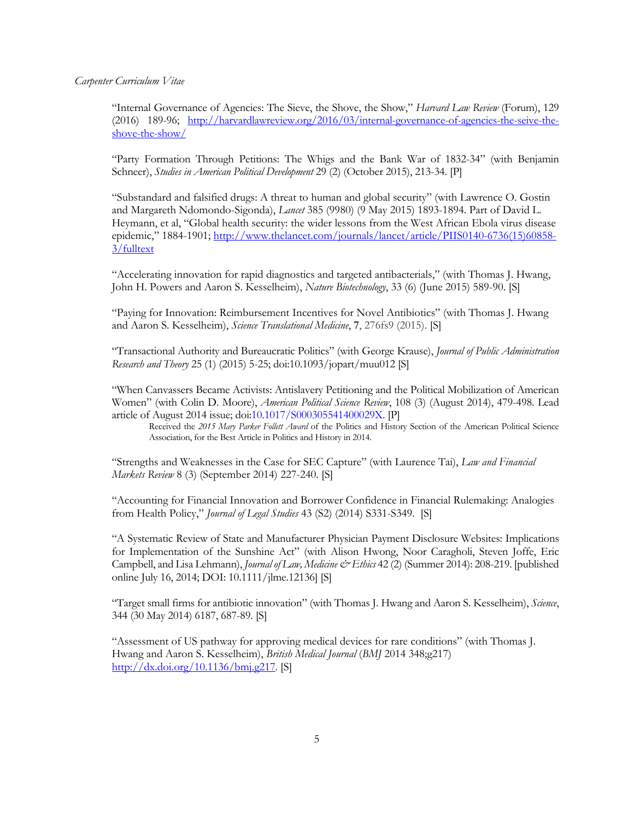"Internal Governance of Agencies: The Sieve, the Shove, the Show," *Harvard Law Review* (Forum), 129 (2016) 189-96; http://harvardlawreview.org/2016/03/internal-governance-of-agencies-the-seive-theshove-the-show/

"Party Formation Through Petitions: The Whigs and the Bank War of 1832-34" (with Benjamin Schneer), *Studies in American Political Development* 29 (2) (October 2015), 213-34. [P]

"Substandard and falsified drugs: A threat to human and global security" (with Lawrence O. Gostin and Margareth Ndomondo-Sigonda), *Lancet* 385 (9980) (9 May 2015) 1893-1894. Part of David L. Heymann, et al, "Global health security: the wider lessons from the West African Ebola virus disease epidemic," 1884-1901; http://www.thelancet.com/journals/lancet/article/PIIS0140-6736(15)60858- 3/fulltext

"Accelerating innovation for rapid diagnostics and targeted antibacterials," (with Thomas J. Hwang, John H. Powers and Aaron S. Kesselheim), *Nature Biotechnology*, 33 (6) (June 2015) 589-90. [S]

"Paying for Innovation: Reimbursement Incentives for Novel Antibiotics" (with Thomas J. Hwang and Aaron S. Kesselheim), *Science Translational Medicine*, **7**, 276fs9 (2015). [S]

"Transactional Authority and Bureaucratic Politics" (with George Krause), *Journal of Public Administration Research and Theory* 25 (1) (2015) 5-25; doi:10.1093/jopart/muu012 [S]

"When Canvassers Became Activists: Antislavery Petitioning and the Political Mobilization of American Women" (with Colin D. Moore), *American Political Science Review*, 108 (3) (August 2014), 479-498. Lead article of August 2014 issue; doi:10.1017/S000305541400029X. [P]

Received the *2015 Mary Parker Follett Award* of the Politics and History Section of the American Political Science Association, for the Best Article in Politics and History in 2014.

"Strengths and Weaknesses in the Case for SEC Capture" (with Laurence Tai), *Law and Financial Markets Review* 8 (3) (September 2014) 227-240. [S]

"Accounting for Financial Innovation and Borrower Confidence in Financial Rulemaking: Analogies from Health Policy," *Journal of Legal Studies* 43 (S2) (2014) S331-S349. [S]

"A Systematic Review of State and Manufacturer Physician Payment Disclosure Websites: Implications for Implementation of the Sunshine Act" (with Alison Hwong, Noor Caragholi, Steven Joffe, Eric Campbell, and Lisa Lehmann), *Journal of Law, Medicine & Ethics* 42 (2) (Summer 2014): 208-219. [published online July 16, 2014; DOI: 10.1111/jlme.12136] [S]

"Target small firms for antibiotic innovation" (with Thomas J. Hwang and Aaron S. Kesselheim), *Science*, 344 (30 May 2014) 6187, 687-89. [S]

"Assessment of US pathway for approving medical devices for rare conditions" (with Thomas J. Hwang and Aaron S. Kesselheim), *British Medical Journal* (*BMJ* 2014 348;g217) http://dx.doi.org/10.1136/bmj.g217. [S]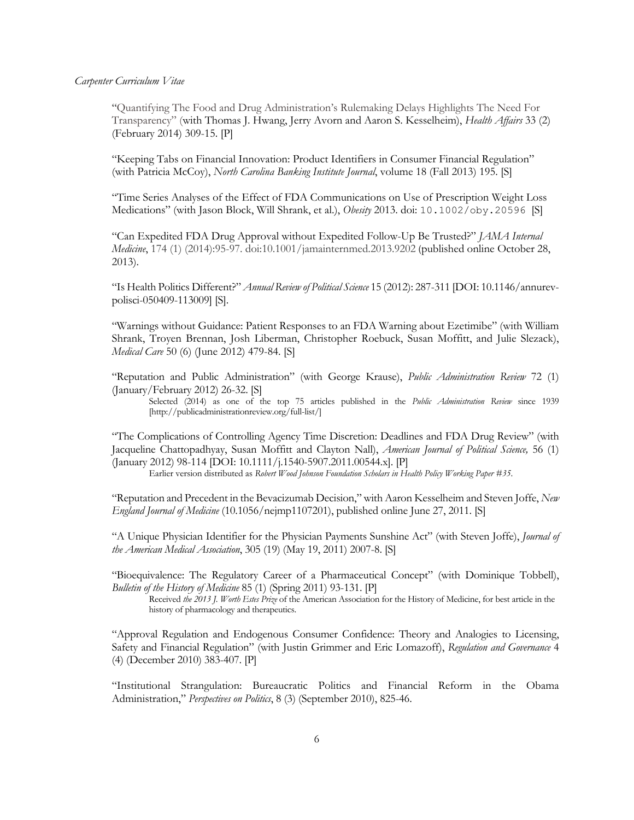"Quantifying The Food and Drug Administration's Rulemaking Delays Highlights The Need For Transparency" (with Thomas J. Hwang, Jerry Avorn and Aaron S. Kesselheim), *Health Affairs* 33 (2) (February 2014) 309-15. [P]

"Keeping Tabs on Financial Innovation: Product Identifiers in Consumer Financial Regulation" (with Patricia McCoy), *North Carolina Banking Institute Journal*, volume 18 (Fall 2013) 195. [S]

"Time Series Analyses of the Effect of FDA Communications on Use of Prescription Weight Loss Medications" (with Jason Block, Will Shrank, et al.), *Obesity* 2013. doi: 10.1002/oby.20596 [S]

"Can Expedited FDA Drug Approval without Expedited Follow-Up Be Trusted?" *JAMA Internal Medicine*, 174 (1) (2014):95-97. doi:10.1001/jamainternmed.2013.9202 (published online October 28, 2013).

"Is Health Politics Different?" *Annual Review of Political Science* 15 (2012): 287-311 [DOI: 10.1146/annurevpolisci-050409-113009] [S].

"Warnings without Guidance: Patient Responses to an FDA Warning about Ezetimibe" (with William Shrank, Troyen Brennan, Josh Liberman, Christopher Roebuck, Susan Moffitt, and Julie Slezack), *Medical Care* 50 (6) (June 2012) 479-84. [S]

"Reputation and Public Administration" (with George Krause), *Public Administration Review* 72 (1) (January/February 2012) 26-32. [S]

Selected (2014) as one of the top 75 articles published in the *Public Administration Review* since 1939 [http://publicadministrationreview.org/full-list/]

"The Complications of Controlling Agency Time Discretion: Deadlines and FDA Drug Review" (with Jacqueline Chattopadhyay, Susan Moffitt and Clayton Nall), *American Journal of Political Science,* 56 (1) (January 2012) 98-114 [DOI: 10.1111/j.1540-5907.2011.00544.x]. [P]

Earlier version distributed as *Robert Wood Johnson Foundation Scholars in Health Policy Working Paper #35*.

"Reputation and Precedent in the Bevacizumab Decision," with Aaron Kesselheim and Steven Joffe, *New England Journal of Medicine* (10.1056/nejmp1107201), published online June 27, 2011. [S]

"A Unique Physician Identifier for the Physician Payments Sunshine Act" (with Steven Joffe), *Journal of the American Medical Association*, 305 (19) (May 19, 2011) 2007-8. [S]

"Bioequivalence: The Regulatory Career of a Pharmaceutical Concept" (with Dominique Tobbell), *Bulletin of the History of Medicine* 85 (1) (Spring 2011) 93-131. [P]

Received *the 2013 J. Worth Estes Prize* of the American Association for the History of Medicine, for best article in the history of pharmacology and therapeutics.

"Approval Regulation and Endogenous Consumer Confidence: Theory and Analogies to Licensing, Safety and Financial Regulation" (with Justin Grimmer and Eric Lomazoff), *Regulation and Governance* 4 (4) (December 2010) 383-407. [P]

"Institutional Strangulation: Bureaucratic Politics and Financial Reform in the Obama Administration," *Perspectives on Politics*, 8 (3) (September 2010), 825-46.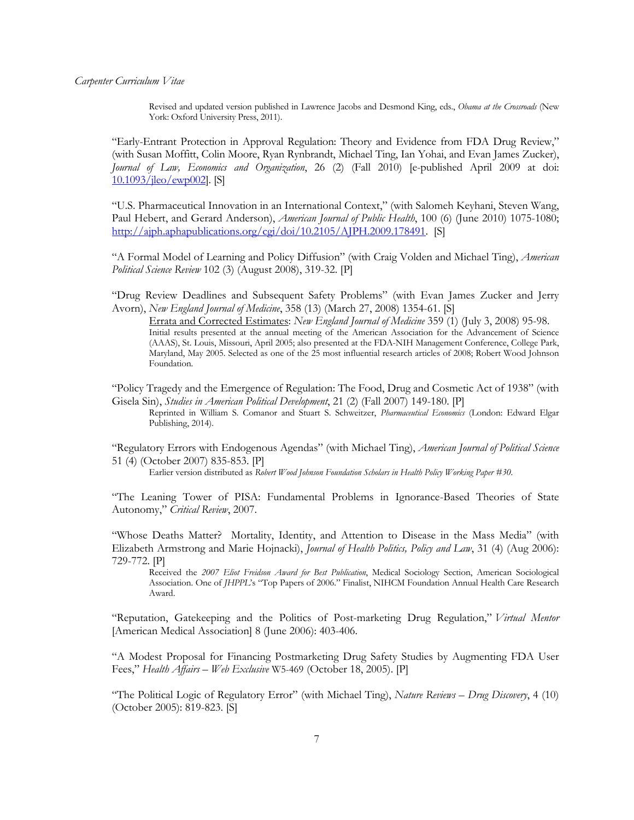Revised and updated version published in Lawrence Jacobs and Desmond King, eds., *Obama at the Crossroads* (New York: Oxford University Press, 2011).

"Early-Entrant Protection in Approval Regulation: Theory and Evidence from FDA Drug Review," (with Susan Moffitt, Colin Moore, Ryan Rynbrandt, Michael Ting, Ian Yohai, and Evan James Zucker), *Journal of Law, Economics and Organization*, 26 (2) (Fall 2010) [e-published April 2009 at doi: 10.1093/jleo/ewp002]. [S]

"U.S. Pharmaceutical Innovation in an International Context," (with Salomeh Keyhani, Steven Wang, Paul Hebert, and Gerard Anderson), *American Journal of Public Health*, 100 (6) (June 2010) 1075-1080; http://ajph.aphapublications.org/cgi/doi/10.2105/AJPH.2009.178491. [S]

"A Formal Model of Learning and Policy Diffusion" (with Craig Volden and Michael Ting), *American Political Science Review* 102 (3) (August 2008), 319-32. [P]

"Drug Review Deadlines and Subsequent Safety Problems" (with Evan James Zucker and Jerry Avorn), *New England Journal of Medicine*, 358 (13) (March 27, 2008) 1354-61. [S]

Errata and Corrected Estimates: *New England Journal of Medicine* 359 (1) (July 3, 2008) 95-98. Initial results presented at the annual meeting of the American Association for the Advancement of Science (AAAS), St. Louis, Missouri, April 2005; also presented at the FDA-NIH Management Conference, College Park, Maryland, May 2005. Selected as one of the 25 most influential research articles of 2008; Robert Wood Johnson Foundation.

"Policy Tragedy and the Emergence of Regulation: The Food, Drug and Cosmetic Act of 1938" (with Gisela Sin), *Studies in American Political Development*, 21 (2) (Fall 2007) 149-180. [P]

Reprinted in William S. Comanor and Stuart S. Schweitzer, *Pharmaceutical Economics* (London: Edward Elgar Publishing, 2014).

"Regulatory Errors with Endogenous Agendas" (with Michael Ting), *American Journal of Political Science* 51 (4) (October 2007) 835-853. [P]

Earlier version distributed as *Robert Wood Johnson Foundation Scholars in Health Policy Working Paper #30*.

"The Leaning Tower of PISA: Fundamental Problems in Ignorance-Based Theories of State Autonomy," *Critical Review*, 2007.

"Whose Deaths Matter? Mortality, Identity, and Attention to Disease in the Mass Media" (with Elizabeth Armstrong and Marie Hojnacki), *Journal of Health Politics, Policy and Law*, 31 (4) (Aug 2006): 729-772. [P] Received the *2007 Eliot Freidson Award for Best Publication*, Medical Sociology Section, American Sociological

Association. One of *JHPPL*'s "Top Papers of 2006." Finalist, NIHCM Foundation Annual Health Care Research Award.

"Reputation, Gatekeeping and the Politics of Post-marketing Drug Regulation," *Virtual Mentor* [American Medical Association] 8 (June 2006): 403-406.

"A Modest Proposal for Financing Postmarketing Drug Safety Studies by Augmenting FDA User Fees," *Health Affairs – Web Exclusive* W5-469 (October 18, 2005). [P]

"The Political Logic of Regulatory Error" (with Michael Ting), *Nature Reviews* – *Drug Discovery*, 4 (10) (October 2005): 819-823. [S]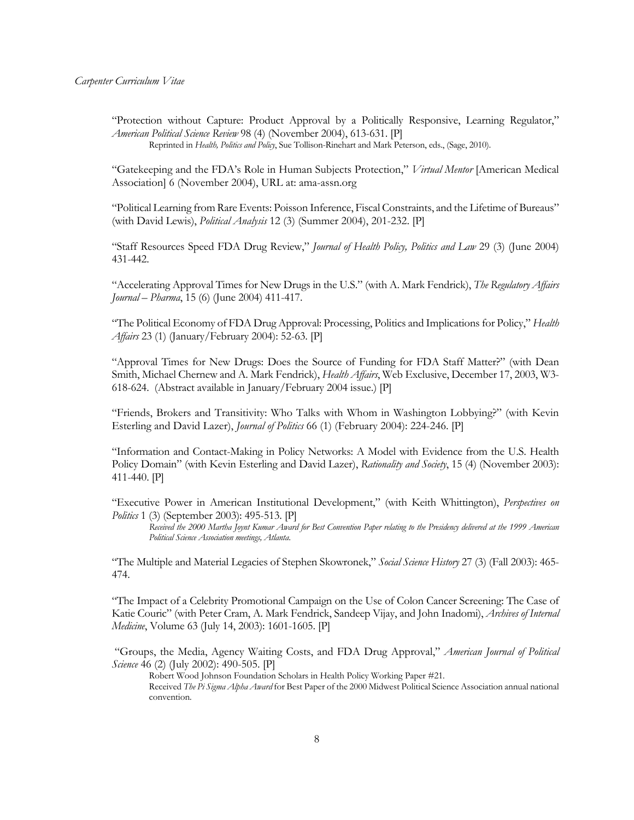"Protection without Capture: Product Approval by a Politically Responsive, Learning Regulator," *American Political Science Review* 98 (4) (November 2004), 613-631. [P] Reprinted in *Health, Politics and Policy*, Sue Tollison-Rinehart and Mark Peterson, eds., (Sage, 2010).

"Gatekeeping and the FDA's Role in Human Subjects Protection," *Virtual Mentor* [American Medical Association] 6 (November 2004), URL at: ama-assn.org

"Political Learning from Rare Events: Poisson Inference, Fiscal Constraints, and the Lifetime of Bureaus" (with David Lewis), *Political Analysis* 12 (3) (Summer 2004), 201-232. [P]

"Staff Resources Speed FDA Drug Review," *Journal of Health Policy, Politics and Law* 29 (3) (June 2004) 431-442.

"Accelerating Approval Times for New Drugs in the U.S." (with A. Mark Fendrick), *The Regulatory Affairs Journal – Pharma*, 15 (6) (June 2004) 411-417.

"The Political Economy of FDA Drug Approval: Processing, Politics and Implications for Policy," *Health Affairs* 23 (1) (January/February 2004): 52-63. [P]

"Approval Times for New Drugs: Does the Source of Funding for FDA Staff Matter?" (with Dean Smith, Michael Chernew and A. Mark Fendrick), *Health Affairs*, Web Exclusive, December 17, 2003, W3- 618-624. (Abstract available in January/February 2004 issue.) [P]

"Friends, Brokers and Transitivity: Who Talks with Whom in Washington Lobbying?" (with Kevin Esterling and David Lazer), *Journal of Politics* 66 (1) (February 2004): 224-246. [P]

"Information and Contact-Making in Policy Networks: A Model with Evidence from the U.S. Health Policy Domain" (with Kevin Esterling and David Lazer), *Rationality and Society*, 15 (4) (November 2003): 411-440. [P]

"Executive Power in American Institutional Development," (with Keith Whittington), *Perspectives on Politics* 1 (3) (September 2003): 495-513. [P]

*Received the 2000 Martha Joynt Kumar Award for Best Convention Paper relating to the Presidency delivered at the 1999 American Political Science Association meetings, Atlanta*.

"The Multiple and Material Legacies of Stephen Skowronek," *Social Science History* 27 (3) (Fall 2003): 465- 474.

"The Impact of a Celebrity Promotional Campaign on the Use of Colon Cancer Screening: The Case of Katie Couric" (with Peter Cram, A. Mark Fendrick, Sandeep Vijay, and John Inadomi), *Archives of Internal Medicine*, Volume 63 (July 14, 2003): 1601-1605. [P]

"Groups, the Media, Agency Waiting Costs, and FDA Drug Approval," *American Journal of Political Science* 46 (2) (July 2002): 490-505. [P]

Robert Wood Johnson Foundation Scholars in Health Policy Working Paper #21*.*

Received *The Pi Sigma Alpha Award* for Best Paper of the 2000 Midwest Political Science Association annual national convention*.*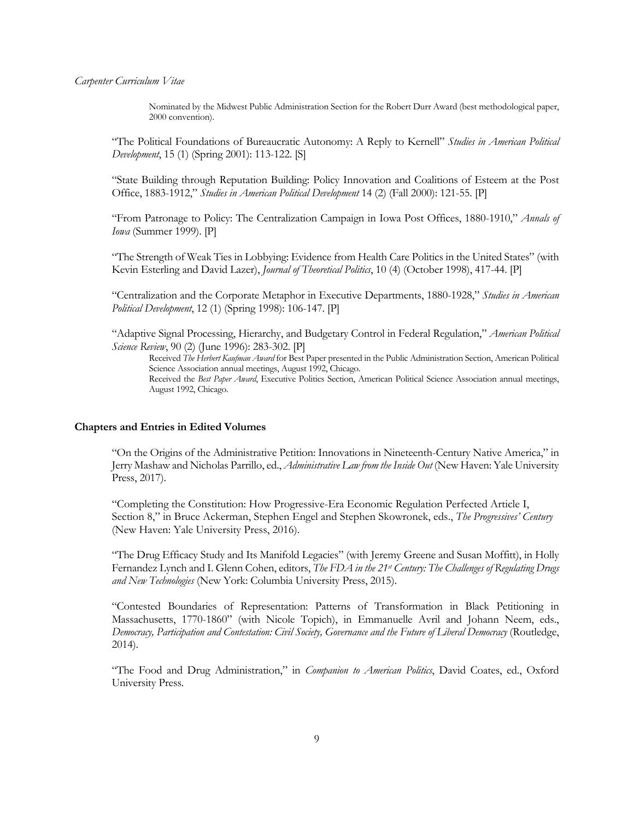Nominated by the Midwest Public Administration Section for the Robert Durr Award (best methodological paper, 2000 convention).

"The Political Foundations of Bureaucratic Autonomy: A Reply to Kernell" *Studies in American Political Development*, 15 (1) (Spring 2001): 113-122. [S]

"State Building through Reputation Building: Policy Innovation and Coalitions of Esteem at the Post Office, 1883-1912," *Studies in American Political Development* 14 (2) (Fall 2000): 121-55. [P]

"From Patronage to Policy: The Centralization Campaign in Iowa Post Offices, 1880-1910," *Annals of Iowa* (Summer 1999). [P]

"The Strength of Weak Ties in Lobbying: Evidence from Health Care Politics in the United States" (with Kevin Esterling and David Lazer), *Journal of Theoretical Politics*, 10 (4) (October 1998), 417-44. [P]

"Centralization and the Corporate Metaphor in Executive Departments, 1880-1928," *Studies in American Political Development*, 12 (1) (Spring 1998): 106-147. [P]

"Adaptive Signal Processing, Hierarchy, and Budgetary Control in Federal Regulation," *American Political Science Review*, 90 (2) (June 1996): 283-302. [P]

Received *The Herbert Kaufman Award* for Best Paper presented in the Public Administration Section, American Political Science Association annual meetings, August 1992, Chicago*.*

Received the *Best Paper Award*, Executive Politics Section, American Political Science Association annual meetings, August 1992, Chicago.

## **Chapters and Entries in Edited Volumes**

"On the Origins of the Administrative Petition: Innovations in Nineteenth-Century Native America," in Jerry Mashaw and Nicholas Parrillo, ed., *Administrative Law from the Inside Out* (New Haven: Yale University Press, 2017).

"Completing the Constitution: How Progressive-Era Economic Regulation Perfected Article I, Section 8," in Bruce Ackerman, Stephen Engel and Stephen Skowronek, eds., *The Progressives' Century* (New Haven: Yale University Press, 2016).

"The Drug Efficacy Study and Its Manifold Legacies" (with Jeremy Greene and Susan Moffitt), in Holly Fernandez Lynch and I. Glenn Cohen, editors, *The FDA in the 21st Century: The Challenges of Regulating Drugs and New Technologies* (New York: Columbia University Press, 2015).

"Contested Boundaries of Representation: Patterns of Transformation in Black Petitioning in Massachusetts, 1770-1860" (with Nicole Topich), in Emmanuelle Avril and Johann Neem, eds., *Democracy, Participation and Contestation: Civil Society, Governance and the Future of Liberal Democracy* (Routledge, 2014).

"The Food and Drug Administration," in *Companion to American Politics*, David Coates, ed., Oxford University Press.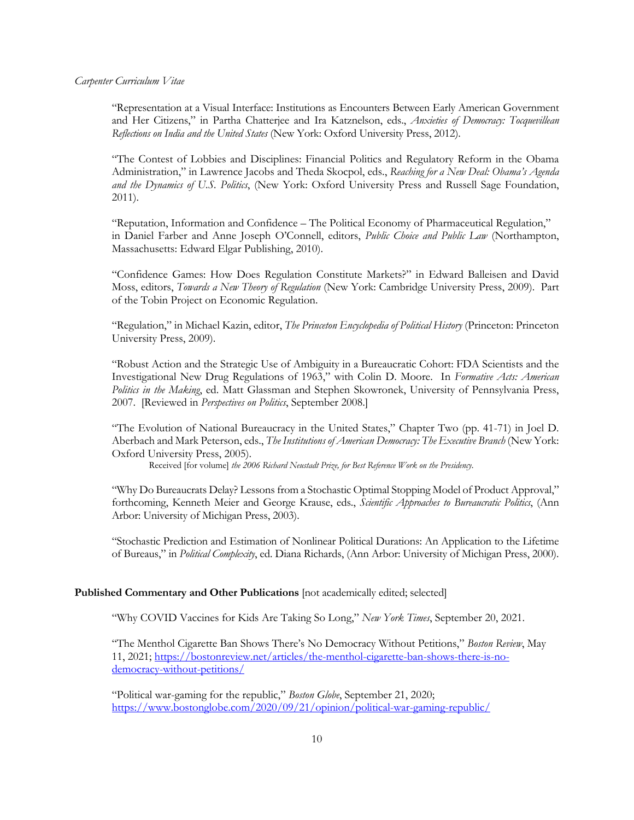"Representation at a Visual Interface: Institutions as Encounters Between Early American Government and Her Citizens," in Partha Chatterjee and Ira Katznelson, eds., *Anxieties of Democracy: Tocquevillean Reflections on India and the United States* (New York: Oxford University Press, 2012).

"The Contest of Lobbies and Disciplines: Financial Politics and Regulatory Reform in the Obama Administration," in Lawrence Jacobs and Theda Skocpol, eds., *Reaching for a New Deal: Obama's Agenda and the Dynamics of U.S. Politics*, (New York: Oxford University Press and Russell Sage Foundation, 2011).

"Reputation, Information and Confidence – The Political Economy of Pharmaceutical Regulation," in Daniel Farber and Anne Joseph O'Connell, editors, *Public Choice and Public Law* (Northampton, Massachusetts: Edward Elgar Publishing, 2010).

"Confidence Games: How Does Regulation Constitute Markets?" in Edward Balleisen and David Moss, editors, *Towards a New Theory of Regulation* (New York: Cambridge University Press, 2009). Part of the Tobin Project on Economic Regulation.

"Regulation," in Michael Kazin, editor, *The Princeton Encyclopedia of Political History* (Princeton: Princeton University Press, 2009).

"Robust Action and the Strategic Use of Ambiguity in a Bureaucratic Cohort: FDA Scientists and the Investigational New Drug Regulations of 1963," with Colin D. Moore. In *Formative Acts: American Politics in the Making*, ed. Matt Glassman and Stephen Skowronek, University of Pennsylvania Press, 2007. [Reviewed in *Perspectives on Politics*, September 2008.]

"The Evolution of National Bureaucracy in the United States," Chapter Two (pp. 41-71) in Joel D. Aberbach and Mark Peterson, eds., *The Institutions of American Democracy: The Executive Branch* (New York: Oxford University Press, 2005).

Received [for volume] *the 2006 Richard Neustadt Prize, for Best Reference Work on the Presidency*.

"Why Do Bureaucrats Delay? Lessons from a Stochastic Optimal Stopping Model of Product Approval," forthcoming, Kenneth Meier and George Krause, eds., *Scientific Approaches to Bureaucratic Politics*, (Ann Arbor: University of Michigan Press, 2003).

"Stochastic Prediction and Estimation of Nonlinear Political Durations: An Application to the Lifetime of Bureaus," in *Political Complexity*, ed. Diana Richards, (Ann Arbor: University of Michigan Press, 2000).

## **Published Commentary and Other Publications** [not academically edited; selected]

"Why COVID Vaccines for Kids Are Taking So Long," *New York Times*, September 20, 2021.

"The Menthol Cigarette Ban Shows There's No Democracy Without Petitions," *Boston Review*, May 11, 2021; https://bostonreview.net/articles/the-menthol-cigarette-ban-shows-there-is-nodemocracy-without-petitions/

"Political war-gaming for the republic," *Boston Globe*, September 21, 2020; https://www.bostonglobe.com/2020/09/21/opinion/political-war-gaming-republic/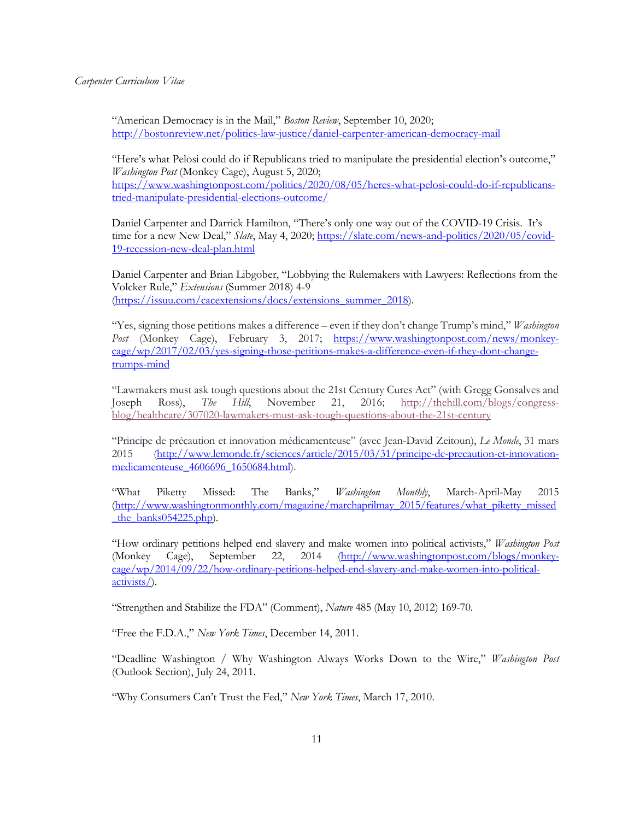"American Democracy is in the Mail," *Boston Review*, September 10, 2020; http://bostonreview.net/politics-law-justice/daniel-carpenter-american-democracy-mail

"Here's what Pelosi could do if Republicans tried to manipulate the presidential election's outcome," *Washington Post* (Monkey Cage), August 5, 2020; https://www.washingtonpost.com/politics/2020/08/05/heres-what-pelosi-could-do-if-republicanstried-manipulate-presidential-elections-outcome/

Daniel Carpenter and Darrick Hamilton, "There's only one way out of the COVID-19 Crisis. It's time for a new New Deal," *Slate*, May 4, 2020; https://slate.com/news-and-politics/2020/05/covid-19-recession-new-deal-plan.html

Daniel Carpenter and Brian Libgober, "Lobbying the Rulemakers with Lawyers: Reflections from the Volcker Rule," *Extensions* (Summer 2018) 4-9 (https://issuu.com/cacextensions/docs/extensions\_summer\_2018).

"Yes, signing those petitions makes a difference – even if they don't change Trump's mind," *Washington Post* (Monkey Cage), February 3, 2017; https://www.washingtonpost.com/news/monkeycage/wp/2017/02/03/yes-signing-those-petitions-makes-a-difference-even-if-they-dont-changetrumps-mind

"Lawmakers must ask tough questions about the 21st Century Cures Act" (with Gregg Gonsalves and Joseph Ross), *The Hill*, November 21, 2016; http://thehill.com/blogs/congressblog/healthcare/307020-lawmakers-must-ask-tough-questions-about-the-21st-century

"Principe de précaution et innovation médicamenteuse" (avec Jean-David Zeitoun), *Le Monde*, 31 mars 2015 (http://www.lemonde.fr/sciences/article/2015/03/31/principe-de-precaution-et-innovationmedicamenteuse\_4606696\_1650684.html).

"What Piketty Missed: The Banks," *Washington Monthly*, March-April-May 2015 (http://www.washingtonmonthly.com/magazine/marchaprilmay\_2015/features/what\_piketty\_missed the  $banks054225.php$ .

"How ordinary petitions helped end slavery and make women into political activists," *Washington Post* (Monkey Cage), September 22, 2014 (http://www.washingtonpost.com/blogs/monkeycage/wp/2014/09/22/how-ordinary-petitions-helped-end-slavery-and-make-women-into-politicalactivists/).

"Strengthen and Stabilize the FDA" (Comment), *Nature* 485 (May 10, 2012) 169-70.

"Free the F.D.A.," *New York Times*, December 14, 2011.

"Deadline Washington / Why Washington Always Works Down to the Wire," *Washington Post* (Outlook Section), July 24, 2011.

"Why Consumers Can't Trust the Fed," *New York Times*, March 17, 2010.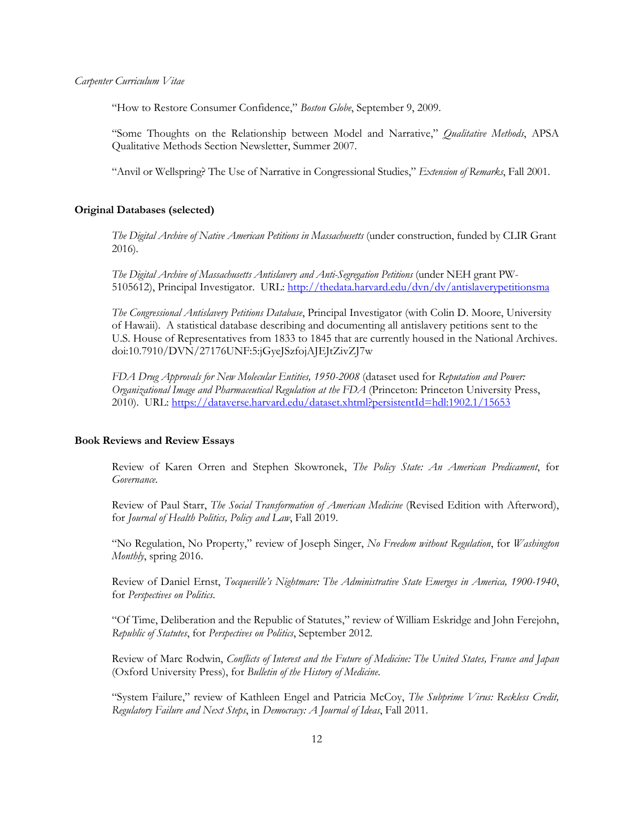"How to Restore Consumer Confidence," *Boston Globe*, September 9, 2009.

"Some Thoughts on the Relationship between Model and Narrative," *Qualitative Methods*, APSA Qualitative Methods Section Newsletter, Summer 2007.

"Anvil or Wellspring? The Use of Narrative in Congressional Studies," *Extension of Remarks*, Fall 2001.

## **Original Databases (selected)**

*The Digital Archive of Native American Petitions in Massachusetts* (under construction, funded by CLIR Grant 2016).

*The Digital Archive of Massachusetts Antislavery and Anti-Segregation Petitions* (under NEH grant PW-5105612), Principal Investigator. URL: http://thedata.harvard.edu/dvn/dv/antislaverypetitionsma

*The Congressional Antislavery Petitions Database*, Principal Investigator (with Colin D. Moore, University of Hawaii). A statistical database describing and documenting all antislavery petitions sent to the U.S. House of Representatives from 1833 to 1845 that are currently housed in the National Archives. doi:10.7910/DVN/27176UNF:5:jGyeJSzfojAJEJtZivZJ7w

*FDA Drug Approvals for New Molecular Entities, 1950-2008* (dataset used for *Reputation and Power: Organizational Image and Pharmaceutical Regulation at the FDA* (Princeton: Princeton University Press, 2010). URL: https://dataverse.harvard.edu/dataset.xhtml?persistentId=hdl:1902.1/15653

#### **Book Reviews and Review Essays**

Review of Karen Orren and Stephen Skowronek, *The Policy State: An American Predicament*, for *Governance*.

Review of Paul Starr, *The Social Transformation of American Medicine* (Revised Edition with Afterword), for *Journal of Health Politics, Policy and Law*, Fall 2019.

"No Regulation, No Property," review of Joseph Singer, *No Freedom without Regulation*, for *Washington Monthly*, spring 2016.

Review of Daniel Ernst, *Tocqueville's Nightmare: The Administrative State Emerges in America, 1900-1940*, for *Perspectives on Politics*.

"Of Time, Deliberation and the Republic of Statutes," review of William Eskridge and John Ferejohn, *Republic of Statutes*, for *Perspectives on Politics*, September 2012.

Review of Marc Rodwin, *Conflicts of Interest and the Future of Medicine: The United States, France and Japan* (Oxford University Press), for *Bulletin of the History of Medicine*.

"System Failure," review of Kathleen Engel and Patricia McCoy, *The Subprime Virus: Reckless Credit, Regulatory Failure and Next Steps*, in *Democracy: A Journal of Ideas*, Fall 2011.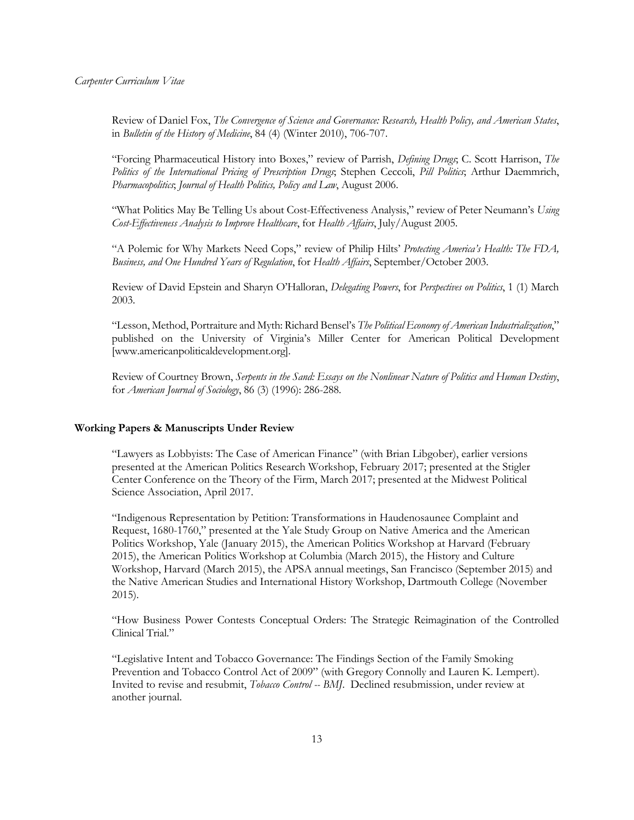Review of Daniel Fox, *The Convergence of Science and Governance: Research, Health Policy, and American States*, in *Bulletin of the History of Medicine*, 84 (4) (Winter 2010), 706-707.

"Forcing Pharmaceutical History into Boxes," review of Parrish, *Defining Drugs*; C. Scott Harrison, *The Politics of the International Pricing of Prescription Drugs*; Stephen Ceccoli, *Pill Politics*; Arthur Daemmrich, *Pharmacopolitics*; *Journal of Health Politics, Policy and Law*, August 2006.

"What Politics May Be Telling Us about Cost-Effectiveness Analysis," review of Peter Neumann's *Using Cost-Effectiveness Analysis to Improve Healthcare*, for *Health Affairs*, July/August 2005.

"A Polemic for Why Markets Need Cops," review of Philip Hilts' *Protecting America's Health: The FDA, Business, and One Hundred Years of Regulation*, for *Health Affairs*, September/October 2003.

Review of David Epstein and Sharyn O'Halloran, *Delegating Powers*, for *Perspectives on Politics*, 1 (1) March 2003.

"Lesson, Method, Portraiture and Myth: Richard Bensel's *The Political Economy of American Industrialization*," published on the University of Virginia's Miller Center for American Political Development [www.americanpoliticaldevelopment.org].

Review of Courtney Brown, *Serpents in the Sand: Essays on the Nonlinear Nature of Politics and Human Destiny*, for *American Journal of Sociology*, 86 (3) (1996): 286-288.

## **Working Papers & Manuscripts Under Review**

"Lawyers as Lobbyists: The Case of American Finance" (with Brian Libgober), earlier versions presented at the American Politics Research Workshop, February 2017; presented at the Stigler Center Conference on the Theory of the Firm, March 2017; presented at the Midwest Political Science Association, April 2017.

"Indigenous Representation by Petition: Transformations in Haudenosaunee Complaint and Request, 1680-1760," presented at the Yale Study Group on Native America and the American Politics Workshop, Yale (January 2015), the American Politics Workshop at Harvard (February 2015), the American Politics Workshop at Columbia (March 2015), the History and Culture Workshop, Harvard (March 2015), the APSA annual meetings, San Francisco (September 2015) and the Native American Studies and International History Workshop, Dartmouth College (November 2015).

"How Business Power Contests Conceptual Orders: The Strategic Reimagination of the Controlled Clinical Trial."

"Legislative Intent and Tobacco Governance: The Findings Section of the Family Smoking Prevention and Tobacco Control Act of 2009" (with Gregory Connolly and Lauren K. Lempert). Invited to revise and resubmit, *Tobacco Control -- BMJ*. Declined resubmission, under review at another journal.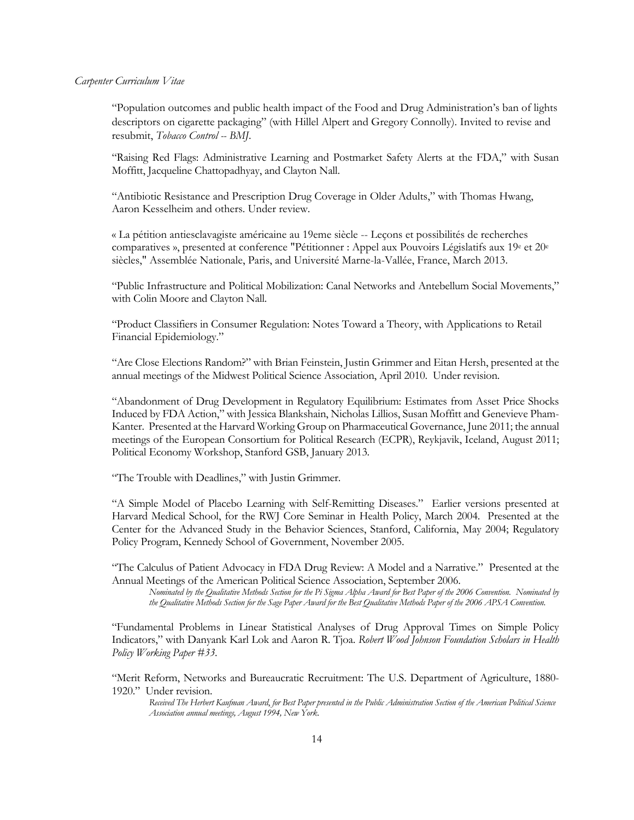"Population outcomes and public health impact of the Food and Drug Administration's ban of lights descriptors on cigarette packaging" (with Hillel Alpert and Gregory Connolly). Invited to revise and resubmit, *Tobacco Control -- BMJ*.

"Raising Red Flags: Administrative Learning and Postmarket Safety Alerts at the FDA," with Susan Moffitt, Jacqueline Chattopadhyay, and Clayton Nall.

"Antibiotic Resistance and Prescription Drug Coverage in Older Adults," with Thomas Hwang, Aaron Kesselheim and others. Under review.

« La pétition antiesclavagiste américaine au 19eme siècle -- Leçons et possibilités de recherches comparatives », presented at conference "Pétitionner : Appel aux Pouvoirs Législatifs aux 19<sup>e</sup> et 20<sup>e</sup> siècles," Assemblée Nationale, Paris, and Université Marne-la-Vallée, France, March 2013.

"Public Infrastructure and Political Mobilization: Canal Networks and Antebellum Social Movements," with Colin Moore and Clayton Nall.

"Product Classifiers in Consumer Regulation: Notes Toward a Theory, with Applications to Retail Financial Epidemiology."

"Are Close Elections Random?" with Brian Feinstein, Justin Grimmer and Eitan Hersh, presented at the annual meetings of the Midwest Political Science Association, April 2010. Under revision.

"Abandonment of Drug Development in Regulatory Equilibrium: Estimates from Asset Price Shocks Induced by FDA Action," with Jessica Blankshain, Nicholas Lillios, Susan Moffitt and Genevieve Pham-Kanter. Presented at the Harvard Working Group on Pharmaceutical Governance, June 2011; the annual meetings of the European Consortium for Political Research (ECPR), Reykjavik, Iceland, August 2011; Political Economy Workshop, Stanford GSB, January 2013.

"The Trouble with Deadlines," with Justin Grimmer.

"A Simple Model of Placebo Learning with Self-Remitting Diseases." Earlier versions presented at Harvard Medical School, for the RWJ Core Seminar in Health Policy, March 2004. Presented at the Center for the Advanced Study in the Behavior Sciences, Stanford, California, May 2004; Regulatory Policy Program, Kennedy School of Government, November 2005.

"The Calculus of Patient Advocacy in FDA Drug Review: A Model and a Narrative." Presented at the Annual Meetings of the American Political Science Association, September 2006.

*Nominated by the Qualitative Methods Section for the Pi Sigma Alpha Award for Best Paper of the 2006 Convention. Nominated by the Qualitative Methods Section for the Sage Paper Award for the Best Qualitative Methods Paper of the 2006 APSA Convention*.

"Fundamental Problems in Linear Statistical Analyses of Drug Approval Times on Simple Policy Indicators," with Danyank Karl Lok and Aaron R. Tjoa. *Robert Wood Johnson Foundation Scholars in Health Policy Working Paper #33*.

"Merit Reform, Networks and Bureaucratic Recruitment: The U.S. Department of Agriculture, 1880- 1920." Under revision.

*Received The Herbert Kaufman Award*, *for Best Paper presented in the Public Administration Section of the American Political Science Association annual meetings, August 1994, New York*.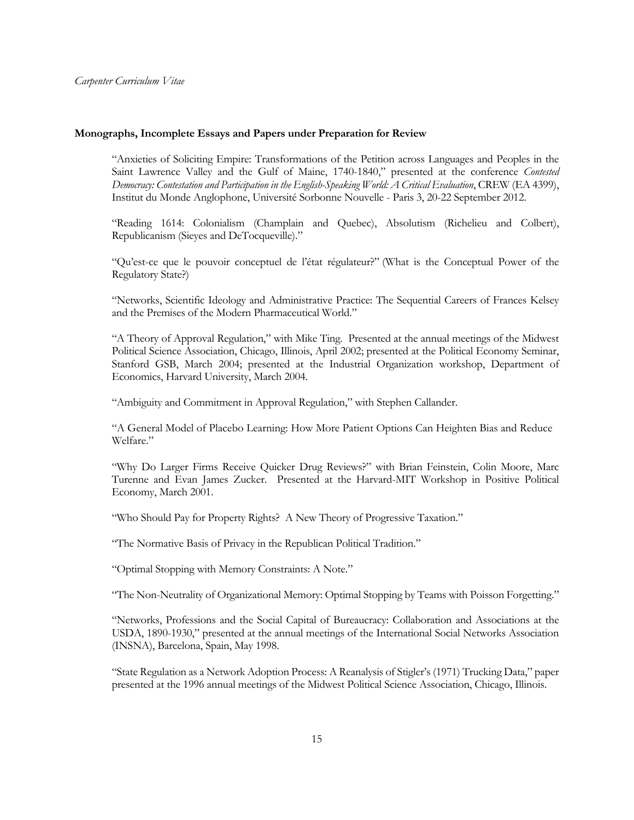## **Monographs, Incomplete Essays and Papers under Preparation for Review**

"Anxieties of Soliciting Empire: Transformations of the Petition across Languages and Peoples in the Saint Lawrence Valley and the Gulf of Maine, 1740-1840," presented at the conference *Contested Democracy: Contestation and Participation in the English-Speaking World: A Critical Evaluation*, CREW (EA 4399), Institut du Monde Anglophone, Université Sorbonne Nouvelle - Paris 3, 20-22 September 2012.

"Reading 1614: Colonialism (Champlain and Quebec), Absolutism (Richelieu and Colbert), Republicanism (Sieyes and DeTocqueville)."

"Qu'est-ce que le pouvoir conceptuel de l'état régulateur?" (What is the Conceptual Power of the Regulatory State?)

"Networks, Scientific Ideology and Administrative Practice: The Sequential Careers of Frances Kelsey and the Premises of the Modern Pharmaceutical World."

"A Theory of Approval Regulation," with Mike Ting. Presented at the annual meetings of the Midwest Political Science Association, Chicago, Illinois, April 2002; presented at the Political Economy Seminar, Stanford GSB, March 2004; presented at the Industrial Organization workshop, Department of Economics, Harvard University, March 2004.

"Ambiguity and Commitment in Approval Regulation," with Stephen Callander.

"A General Model of Placebo Learning: How More Patient Options Can Heighten Bias and Reduce Welfare."

"Why Do Larger Firms Receive Quicker Drug Reviews?" with Brian Feinstein, Colin Moore, Marc Turenne and Evan James Zucker. Presented at the Harvard-MIT Workshop in Positive Political Economy, March 2001.

"Who Should Pay for Property Rights? A New Theory of Progressive Taxation."

"The Normative Basis of Privacy in the Republican Political Tradition."

"Optimal Stopping with Memory Constraints: A Note."

"The Non-Neutrality of Organizational Memory: Optimal Stopping by Teams with Poisson Forgetting."

"Networks, Professions and the Social Capital of Bureaucracy: Collaboration and Associations at the USDA, 1890-1930," presented at the annual meetings of the International Social Networks Association (INSNA), Barcelona, Spain, May 1998.

"State Regulation as a Network Adoption Process: A Reanalysis of Stigler's (1971) Trucking Data," paper presented at the 1996 annual meetings of the Midwest Political Science Association, Chicago, Illinois.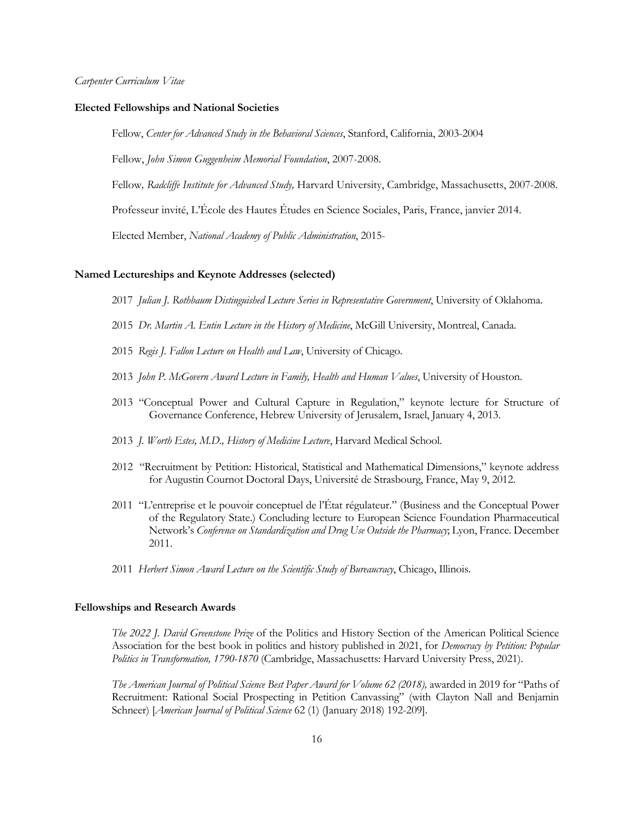#### **Elected Fellowships and National Societies**

Fellow, *Center for Advanced Study in the Behavioral Sciences*, Stanford, California, 2003-2004

Fellow, *John Simon Guggenheim Memorial Foundation*, 2007-2008.

Fellow*, Radcliffe Institute for Advanced Study,* Harvard University, Cambridge, Massachusetts, 2007-2008.

Professeur invité, L'École des Hautes Études en Science Sociales, Paris, France, janvier 2014.

Elected Member, *National Academy of Public Administration*, 2015-

## **Named Lectureships and Keynote Addresses (selected)**

2017 *Julian J. Rothbaum Distinguished Lecture Series in Representative Government*, University of Oklahoma.

- 2015 *Dr. Martin A. Entin Lecture in the History of Medicine*, McGill University, Montreal, Canada.
- 2015 *Regis J. Fallon Lecture on Health and Law*, University of Chicago.
- 2013 *John P. McGovern Award Lecture in Family, Health and Human Values*, University of Houston.
- 2013 "Conceptual Power and Cultural Capture in Regulation," keynote lecture for Structure of Governance Conference, Hebrew University of Jerusalem, Israel, January 4, 2013.
- 2013 *J. Worth Estes, M.D., History of Medicine Lecture*, Harvard Medical School.
- 2012 "Recruitment by Petition: Historical, Statistical and Mathematical Dimensions," keynote address for Augustin Cournot Doctoral Days, Université de Strasbourg, France, May 9, 2012.
- 2011 "L'entreprise et le pouvoir conceptuel de l'État régulateur." (Business and the Conceptual Power of the Regulatory State.) Concluding lecture to European Science Foundation Pharmaceutical Network's *Conference on Standardization and Drug Use Outside the Pharmacy*; Lyon, France. December 2011.
- 2011 *Herbert Simon Award Lecture on the Scientific Study of Bureaucracy*, Chicago, Illinois.

#### **Fellowships and Research Awards**

*The 2022 J. David Greenstone Prize* of the Politics and History Section of the American Political Science Association for the best book in politics and history published in 2021, for *Democracy by Petition: Popular Politics in Transformation, 1790-1870* (Cambridge, Massachusetts: Harvard University Press, 2021).

*The American Journal of Political Science Best Paper Award for Volume 62 (2018)*, awarded in 2019 for "Paths of Recruitment: Rational Social Prospecting in Petition Canvassing" (with Clayton Nall and Benjamin Schneer) [*American Journal of Political Science* 62 (1) (January 2018) 192-209].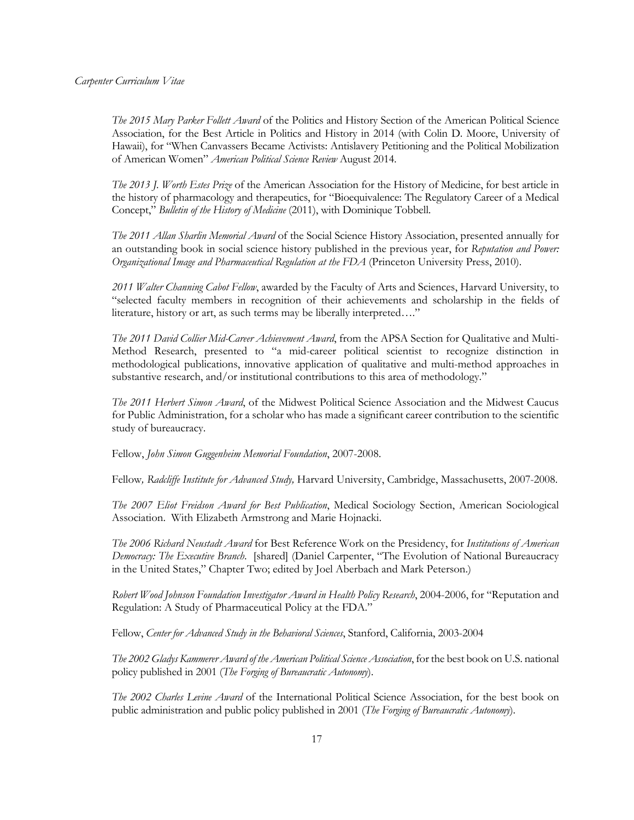*The 2015 Mary Parker Follett Award* of the Politics and History Section of the American Political Science Association, for the Best Article in Politics and History in 2014 (with Colin D. Moore, University of Hawaii), for "When Canvassers Became Activists: Antislavery Petitioning and the Political Mobilization of American Women" *American Political Science Review* August 2014.

*The 2013 J. Worth Estes Prize* of the American Association for the History of Medicine, for best article in the history of pharmacology and therapeutics, for "Bioequivalence: The Regulatory Career of a Medical Concept," *Bulletin of the History of Medicine* (2011), with Dominique Tobbell.

*The 2011 Allan Sharlin Memorial Award* of the Social Science History Association, presented annually for an outstanding book in social science history published in the previous year, for *Reputation and Power: Organizational Image and Pharmaceutical Regulation at the FDA* (Princeton University Press, 2010).

*2011 Walter Channing Cabot Fellow*, awarded by the Faculty of Arts and Sciences, Harvard University, to "selected faculty members in recognition of their achievements and scholarship in the fields of literature, history or art, as such terms may be liberally interpreted…."

*The 2011 David Collier Mid-Career Achievement Award*, from the APSA Section for Qualitative and Multi-Method Research, presented to "a mid-career political scientist to recognize distinction in methodological publications, innovative application of qualitative and multi-method approaches in substantive research, and/or institutional contributions to this area of methodology."

*The 2011 Herbert Simon Award*, of the Midwest Political Science Association and the Midwest Caucus for Public Administration, for a scholar who has made a significant career contribution to the scientific study of bureaucracy.

Fellow, *John Simon Guggenheim Memorial Foundation*, 2007-2008.

Fellow*, Radcliffe Institute for Advanced Study,* Harvard University, Cambridge, Massachusetts, 2007-2008.

*The 2007 Eliot Freidson Award for Best Publication*, Medical Sociology Section, American Sociological Association. With Elizabeth Armstrong and Marie Hojnacki.

*The 2006 Richard Neustadt Award* for Best Reference Work on the Presidency, for *Institutions of American Democracy: The Executive Branch*. [shared] (Daniel Carpenter, "The Evolution of National Bureaucracy in the United States," Chapter Two; edited by Joel Aberbach and Mark Peterson.)

*Robert Wood Johnson Foundation Investigator Award in Health Policy Research*, 2004-2006, for "Reputation and Regulation: A Study of Pharmaceutical Policy at the FDA."

Fellow, *Center for Advanced Study in the Behavioral Sciences*, Stanford, California, 2003-2004

*The 2002 Gladys Kammerer Award of the American Political Science Association*, for the best book on U.S. national policy published in 2001 (*The Forging of Bureaucratic Autonomy*).

*The 2002 Charles Levine Award* of the International Political Science Association, for the best book on public administration and public policy published in 2001 (*The Forging of Bureaucratic Autonomy*).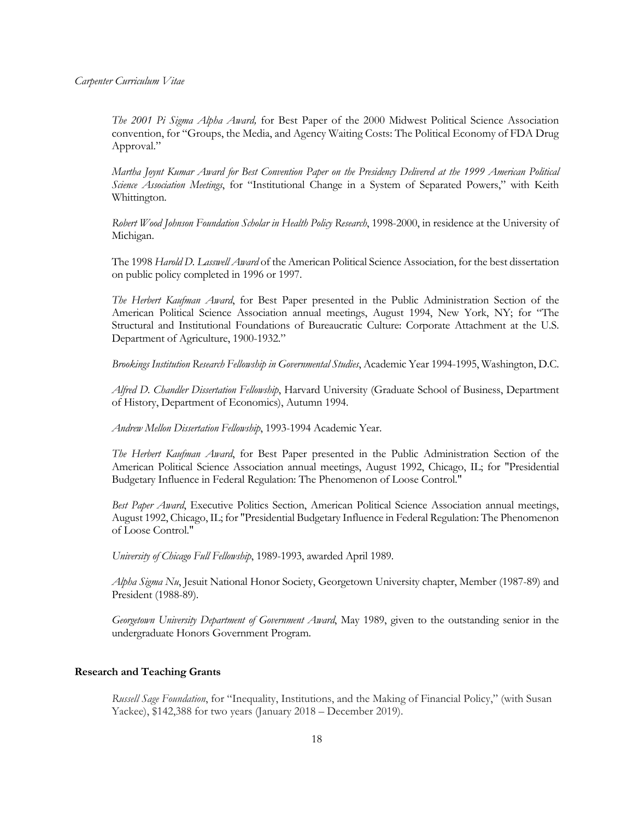*The 2001 Pi Sigma Alpha Award,* for Best Paper of the 2000 Midwest Political Science Association convention, for "Groups, the Media, and Agency Waiting Costs: The Political Economy of FDA Drug Approval."

*Martha Joynt Kumar Award for Best Convention Paper on the Presidency Delivered at the 1999 American Political Science Association Meetings*, for "Institutional Change in a System of Separated Powers," with Keith Whittington.

*Robert Wood Johnson Foundation Scholar in Health Policy Research*, 1998-2000, in residence at the University of Michigan.

The 1998 *Harold D. Lasswell Award* of the American Political Science Association, for the best dissertation on public policy completed in 1996 or 1997.

*The Herbert Kaufman Award*, for Best Paper presented in the Public Administration Section of the American Political Science Association annual meetings, August 1994, New York, NY; for "The Structural and Institutional Foundations of Bureaucratic Culture: Corporate Attachment at the U.S. Department of Agriculture, 1900-1932."

*Brookings Institution Research Fellowship in Governmental Studies*, Academic Year 1994-1995, Washington, D.C.

*Alfred D. Chandler Dissertation Fellowship*, Harvard University (Graduate School of Business, Department of History, Department of Economics), Autumn 1994.

*Andrew Mellon Dissertation Fellowship*, 1993-1994 Academic Year.

*The Herbert Kaufman Award*, for Best Paper presented in the Public Administration Section of the American Political Science Association annual meetings, August 1992, Chicago, IL; for "Presidential Budgetary Influence in Federal Regulation: The Phenomenon of Loose Control."

*Best Paper Award*, Executive Politics Section, American Political Science Association annual meetings, August 1992, Chicago, IL; for "Presidential Budgetary Influence in Federal Regulation: The Phenomenon of Loose Control."

*University of Chicago Full Fellowship*, 1989-1993, awarded April 1989.

*Alpha Sigma Nu*, Jesuit National Honor Society, Georgetown University chapter, Member (1987-89) and President (1988-89).

*Georgetown University Department of Government Award*, May 1989, given to the outstanding senior in the undergraduate Honors Government Program.

#### **Research and Teaching Grants**

*Russell Sage Foundation*, for "Inequality, Institutions, and the Making of Financial Policy," (with Susan Yackee), \$142,388 for two years (January 2018 – December 2019).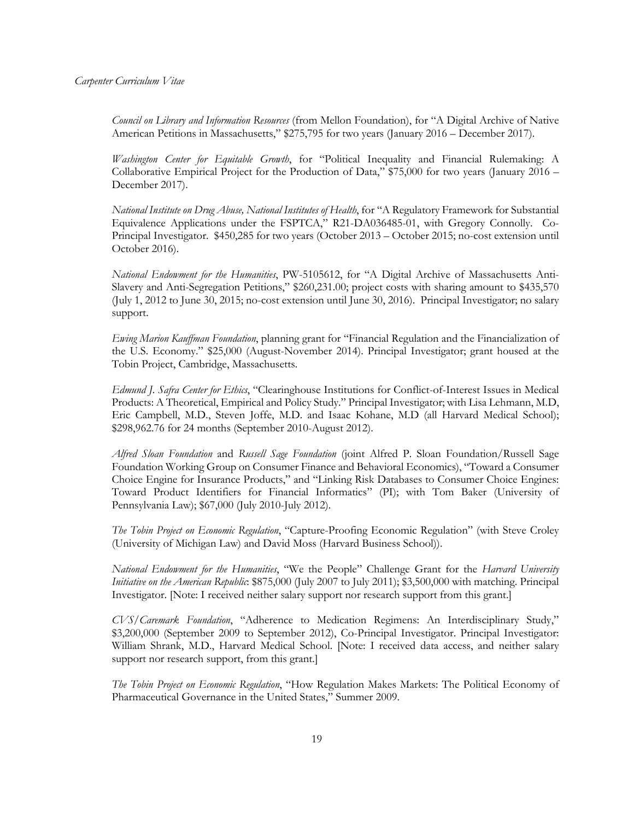*Council on Library and Information Resources* (from Mellon Foundation), for "A Digital Archive of Native American Petitions in Massachusetts," \$275,795 for two years (January 2016 – December 2017).

*Washington Center for Equitable Growth*, for "Political Inequality and Financial Rulemaking: A Collaborative Empirical Project for the Production of Data," \$75,000 for two years (January 2016 – December 2017).

*National Institute on Drug Abuse, National Institutes of Health*, for "A Regulatory Framework for Substantial Equivalence Applications under the FSPTCA," R21-DA036485-01, with Gregory Connolly. Co-Principal Investigator. \$450,285 for two years (October 2013 – October 2015; no-cost extension until October 2016).

*National Endowment for the Humanities*, PW-5105612, for "A Digital Archive of Massachusetts Anti-Slavery and Anti-Segregation Petitions," \$260,231.00; project costs with sharing amount to \$435,570 (July 1, 2012 to June 30, 2015; no-cost extension until June 30, 2016). Principal Investigator; no salary support.

*Ewing Marion Kauffman Foundation*, planning grant for "Financial Regulation and the Financialization of the U.S. Economy." \$25,000 (August-November 2014). Principal Investigator; grant housed at the Tobin Project, Cambridge, Massachusetts.

*Edmund J. Safra Center for Ethics*, "Clearinghouse Institutions for Conflict-of-Interest Issues in Medical Products: A Theoretical, Empirical and Policy Study." Principal Investigator; with Lisa Lehmann, M.D, Eric Campbell, M.D., Steven Joffe, M.D. and Isaac Kohane, M.D (all Harvard Medical School); \$298,962.76 for 24 months (September 2010-August 2012).

*Alfred Sloan Foundation* and *Russell Sage Foundation* (joint Alfred P. Sloan Foundation/Russell Sage Foundation Working Group on Consumer Finance and Behavioral Economics), "Toward a Consumer Choice Engine for Insurance Products," and "Linking Risk Databases to Consumer Choice Engines: Toward Product Identifiers for Financial Informatics" (PI); with Tom Baker (University of Pennsylvania Law); \$67,000 (July 2010-July 2012).

*The Tobin Project on Economic Regulation*, "Capture-Proofing Economic Regulation" (with Steve Croley (University of Michigan Law) and David Moss (Harvard Business School)).

*National Endowment for the Humanities*, "We the People" Challenge Grant for the *Harvard University Initiative on the American Republic*: \$875,000 (July 2007 to July 2011); \$3,500,000 with matching. Principal Investigator. [Note: I received neither salary support nor research support from this grant.]

*CVS/Caremark Foundation*, "Adherence to Medication Regimens: An Interdisciplinary Study," \$3,200,000 (September 2009 to September 2012), Co-Principal Investigator. Principal Investigator: William Shrank, M.D., Harvard Medical School. [Note: I received data access, and neither salary support nor research support, from this grant.]

*The Tobin Project on Economic Regulation*, "How Regulation Makes Markets: The Political Economy of Pharmaceutical Governance in the United States," Summer 2009.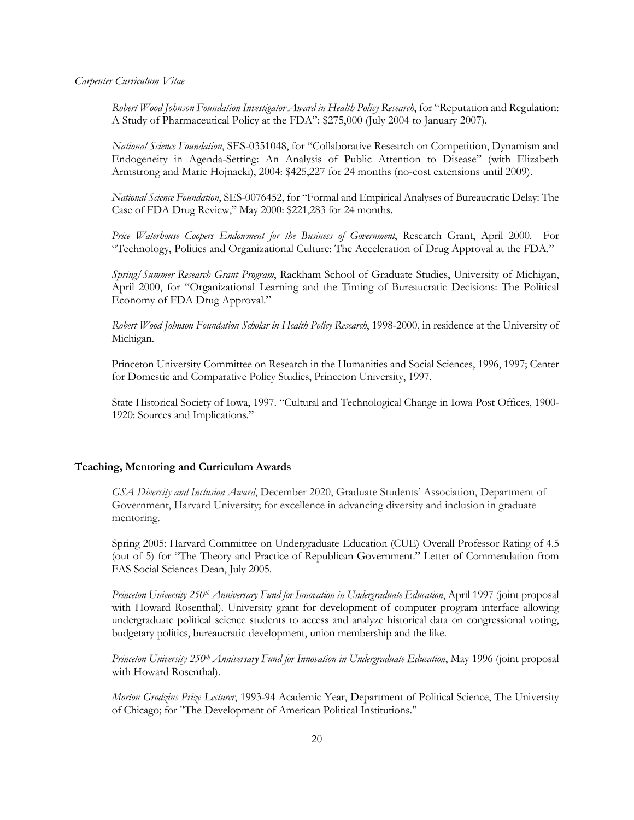*Robert Wood Johnson Foundation Investigator Award in Health Policy Research*, for "Reputation and Regulation: A Study of Pharmaceutical Policy at the FDA": \$275,000 (July 2004 to January 2007).

*National Science Foundation*, SES-0351048, for "Collaborative Research on Competition, Dynamism and Endogeneity in Agenda-Setting: An Analysis of Public Attention to Disease" (with Elizabeth Armstrong and Marie Hojnacki), 2004: \$425,227 for 24 months (no-cost extensions until 2009).

*National Science Foundation*, SES-0076452, for "Formal and Empirical Analyses of Bureaucratic Delay: The Case of FDA Drug Review," May 2000: \$221,283 for 24 months.

*Price Waterhouse Coopers Endowment for the Business of Government*, Research Grant, April 2000. For "Technology, Politics and Organizational Culture: The Acceleration of Drug Approval at the FDA."

*Spring/Summer Research Grant Program*, Rackham School of Graduate Studies, University of Michigan, April 2000, for "Organizational Learning and the Timing of Bureaucratic Decisions: The Political Economy of FDA Drug Approval."

*Robert Wood Johnson Foundation Scholar in Health Policy Research*, 1998-2000, in residence at the University of Michigan.

Princeton University Committee on Research in the Humanities and Social Sciences, 1996, 1997; Center for Domestic and Comparative Policy Studies, Princeton University, 1997.

State Historical Society of Iowa, 1997. "Cultural and Technological Change in Iowa Post Offices, 1900- 1920: Sources and Implications."

## **Teaching, Mentoring and Curriculum Awards**

*GSA Diversity and Inclusion Award*, December 2020, Graduate Students' Association, Department of Government, Harvard University; for excellence in advancing diversity and inclusion in graduate mentoring.

Spring 2005: Harvard Committee on Undergraduate Education (CUE) Overall Professor Rating of 4.5 (out of 5) for "The Theory and Practice of Republican Government." Letter of Commendation from FAS Social Sciences Dean, July 2005.

*Princeton University 250th Anniversary Fund for Innovation in Undergraduate Education*, April 1997 (joint proposal with Howard Rosenthal). University grant for development of computer program interface allowing undergraduate political science students to access and analyze historical data on congressional voting, budgetary politics, bureaucratic development, union membership and the like.

*Princeton University 250th Anniversary Fund for Innovation in Undergraduate Education*, May 1996 (joint proposal with Howard Rosenthal).

*Morton Grodzins Prize Lecturer*, 1993-94 Academic Year, Department of Political Science, The University of Chicago; for "The Development of American Political Institutions."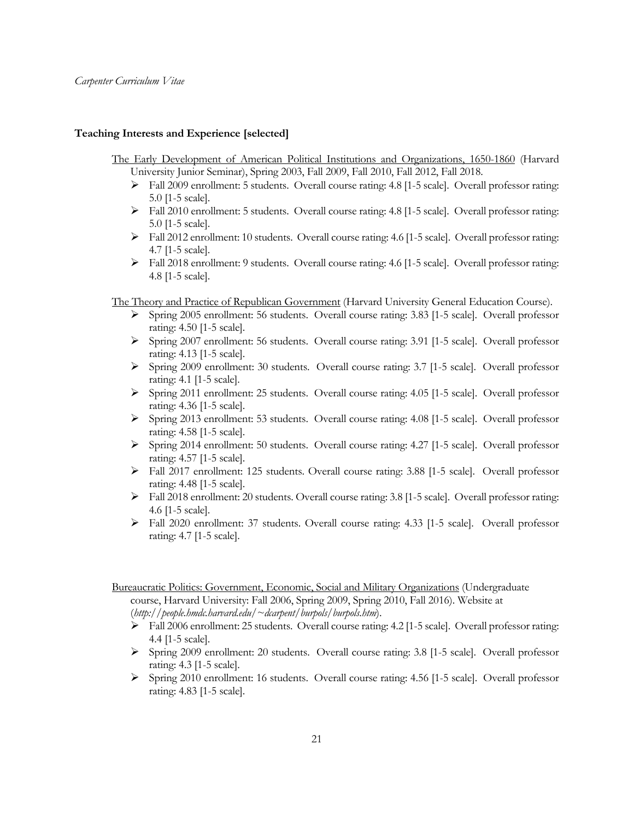#### **Teaching Interests and Experience [selected]**

The Early Development of American Political Institutions and Organizations, 1650-1860 (Harvard University Junior Seminar), Spring 2003, Fall 2009, Fall 2010, Fall 2012, Fall 2018.

- $\triangleright$  Fall 2009 enrollment: 5 students. Overall course rating: 4.8 [1-5 scale]. Overall professor rating: 5.0 [1-5 scale].
- Ø Fall 2010 enrollment: 5 students. Overall course rating: 4.8 [1-5 scale]. Overall professor rating: 5.0 [1-5 scale].
- $\triangleright$  Fall 2012 enrollment: 10 students. Overall course rating: 4.6 [1-5 scale]. Overall professor rating: 4.7 [1-5 scale].
- $\triangleright$  Fall 2018 enrollment: 9 students. Overall course rating: 4.6 [1-5 scale]. Overall professor rating: 4.8 [1-5 scale].

The Theory and Practice of Republican Government (Harvard University General Education Course).

- Ø Spring 2005 enrollment: 56 students. Overall course rating: 3.83 [1-5 scale]. Overall professor rating: 4.50 [1-5 scale].
- Ø Spring 2007 enrollment: 56 students. Overall course rating: 3.91 [1-5 scale]. Overall professor rating: 4.13 [1-5 scale].
- $\triangleright$  Spring 2009 enrollment: 30 students. Overall course rating: 3.7 [1-5 scale]. Overall professor rating: 4.1 [1-5 scale].
- Ø Spring 2011 enrollment: 25 students. Overall course rating: 4.05 [1-5 scale]. Overall professor rating: 4.36 [1-5 scale].
- Ø Spring 2013 enrollment: 53 students. Overall course rating: 4.08 [1-5 scale]. Overall professor rating: 4.58 [1-5 scale].
- Ø Spring 2014 enrollment: 50 students. Overall course rating: 4.27 [1-5 scale]. Overall professor rating: 4.57 [1-5 scale].
- Ø Fall 2017 enrollment: 125 students. Overall course rating: 3.88 [1-5 scale]. Overall professor rating: 4.48 [1-5 scale].
- $\triangleright$  Fall 2018 enrollment: 20 students. Overall course rating: 3.8 [1-5 scale]. Overall professor rating: 4.6 [1-5 scale].
- Ø Fall 2020 enrollment: 37 students. Overall course rating: 4.33 [1-5 scale]. Overall professor rating: 4.7 [1-5 scale].

Bureaucratic Politics: Government, Economic, Social and Military Organizations (Undergraduate course, Harvard University: Fall 2006, Spring 2009, Spring 2010, Fall 2016). Website at (*http://people.hmdc.harvard.edu/~dcarpent/burpols/burpols.htm*).

- Ø Fall 2006 enrollment: 25 students. Overall course rating: 4.2 [1-5 scale]. Overall professor rating: 4.4 [1-5 scale].
- $\triangleright$  Spring 2009 enrollment: 20 students. Overall course rating: 3.8 [1-5 scale]. Overall professor rating: 4.3 [1-5 scale].
- Ø Spring 2010 enrollment: 16 students. Overall course rating: 4.56 [1-5 scale]. Overall professor rating: 4.83 [1-5 scale].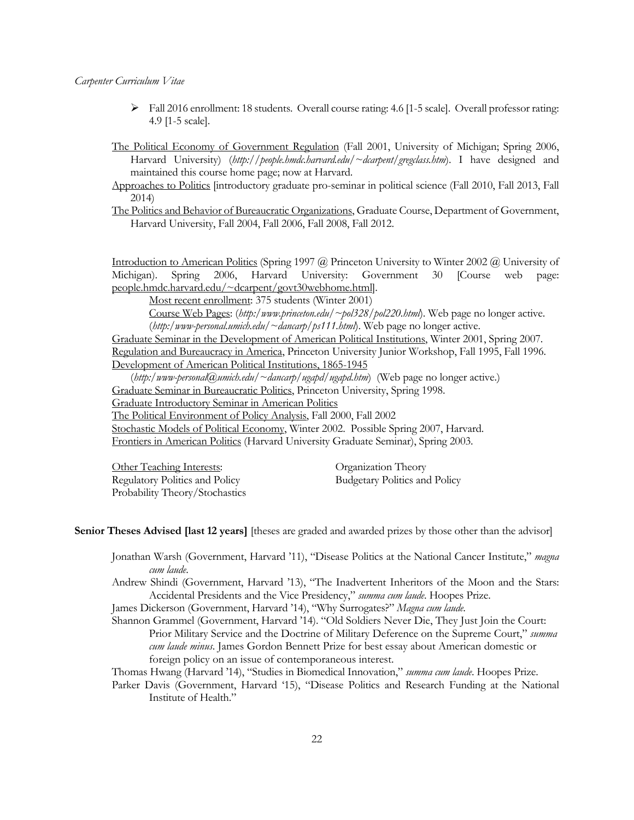Ø Fall 2016 enrollment: 18 students. Overall course rating: 4.6 [1-5 scale]. Overall professor rating: 4.9 [1-5 scale].

The Political Economy of Government Regulation (Fall 2001, University of Michigan; Spring 2006, Harvard University) (*http://people.hmdc.harvard.edu/~dcarpent/gregclass.htm*). I have designed and maintained this course home page; now at Harvard.

Approaches to Politics [introductory graduate pro-seminar in political science (Fall 2010, Fall 2013, Fall 2014)

The Politics and Behavior of Bureaucratic Organizations, Graduate Course, Department of Government, Harvard University, Fall 2004, Fall 2006, Fall 2008, Fall 2012.

Introduction to American Politics (Spring 1997 @ Princeton University to Winter 2002 @ University of Michigan). Spring 2006, Harvard University: Government 30 [Course web page: people.hmdc.harvard.edu/~dcarpent/govt30webhome.html].

Most recent enrollment: 375 students (Winter 2001)

Course Web Pages: (*http:/www.princeton.edu/~pol328/pol220.html*). Web page no longer active. (*http:/www-personal.umich.edu/~dancarp/ps111.html*). Web page no longer active.

Graduate Seminar in the Development of American Political Institutions, Winter 2001, Spring 2007. Regulation and Bureaucracy in America, Princeton University Junior Workshop, Fall 1995, Fall 1996. Development of American Political Institutions, 1865-1945

(*http:/www-personal@umich.edu/~dancarp/ugapd/ugapd.htm*) (Web page no longer active.) Graduate Seminar in Bureaucratic Politics, Princeton University, Spring 1998.

Graduate Introductory Seminar in American Politics

The Political Environment of Policy Analysis, Fall 2000, Fall 2002

Stochastic Models of Political Economy, Winter 2002. Possible Spring 2007, Harvard. Frontiers in American Politics (Harvard University Graduate Seminar), Spring 2003.

Other Teaching Interests: Organization Theory Regulatory Politics and Policy Budgetary Politics and Policy Probability Theory/Stochastics

**Senior Theses Advised [last 12 years]** [theses are graded and awarded prizes by those other than the advisor]

Jonathan Warsh (Government, Harvard '11), "Disease Politics at the National Cancer Institute," *magna cum laude*.

Andrew Shindi (Government, Harvard '13), "The Inadvertent Inheritors of the Moon and the Stars: Accidental Presidents and the Vice Presidency," *summa cum laude*. Hoopes Prize.

James Dickerson (Government, Harvard '14), "Why Surrogates?" *Magna cum laude*.

Shannon Grammel (Government, Harvard '14). "Old Soldiers Never Die, They Just Join the Court: Prior Military Service and the Doctrine of Military Deference on the Supreme Court," *summa cum laude minus*. James Gordon Bennett Prize for best essay about American domestic or foreign policy on an issue of contemporaneous interest.

Thomas Hwang (Harvard '14), "Studies in Biomedical Innovation," *summa cum laude*. Hoopes Prize.

Parker Davis (Government, Harvard '15), "Disease Politics and Research Funding at the National Institute of Health."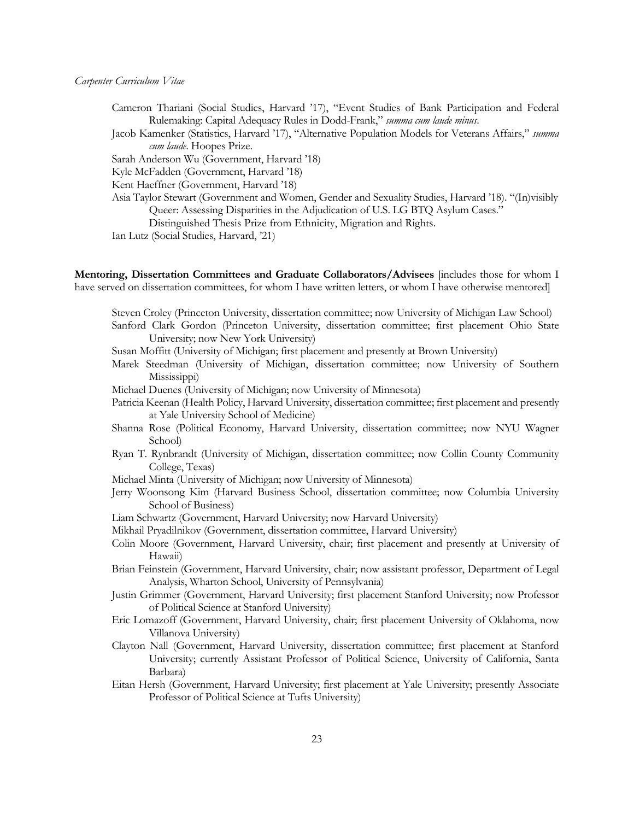- Cameron Thariani (Social Studies, Harvard '17), "Event Studies of Bank Participation and Federal Rulemaking: Capital Adequacy Rules in Dodd-Frank," *summa cum laude minus*.
- Jacob Kamenker (Statistics, Harvard '17), "Alternative Population Models for Veterans Affairs," *summa cum laude*. Hoopes Prize.
- Sarah Anderson Wu (Government, Harvard '18)
- Kyle McFadden (Government, Harvard '18)
- Kent Haeffner (Government, Harvard '18)
- Asia Taylor Stewart (Government and Women, Gender and Sexuality Studies, Harvard '18). "(In)visibly Queer: Assessing Disparities in the Adjudication of U.S. LG BTQ Asylum Cases."
	- Distinguished Thesis Prize from Ethnicity, Migration and Rights.
- Ian Lutz (Social Studies, Harvard, '21)

**Mentoring, Dissertation Committees and Graduate Collaborators/Advisees** [includes those for whom I have served on dissertation committees, for whom I have written letters, or whom I have otherwise mentored]

Steven Croley (Princeton University, dissertation committee; now University of Michigan Law School)

- Sanford Clark Gordon (Princeton University, dissertation committee; first placement Ohio State University; now New York University)
- Susan Moffitt (University of Michigan; first placement and presently at Brown University)
- Marek Steedman (University of Michigan, dissertation committee; now University of Southern Mississippi)
- Michael Duenes (University of Michigan; now University of Minnesota)
- Patricia Keenan (Health Policy, Harvard University, dissertation committee; first placement and presently at Yale University School of Medicine)
- Shanna Rose (Political Economy, Harvard University, dissertation committee; now NYU Wagner School)
- Ryan T. Rynbrandt (University of Michigan, dissertation committee; now Collin County Community College, Texas)
- Michael Minta (University of Michigan; now University of Minnesota)
- Jerry Woonsong Kim (Harvard Business School, dissertation committee; now Columbia University School of Business)
- Liam Schwartz (Government, Harvard University; now Harvard University)
- Mikhail Pryadilnikov (Government, dissertation committee, Harvard University)
- Colin Moore (Government, Harvard University, chair; first placement and presently at University of Hawaii)
- Brian Feinstein (Government, Harvard University, chair; now assistant professor, Department of Legal Analysis, Wharton School, University of Pennsylvania)
- Justin Grimmer (Government, Harvard University; first placement Stanford University; now Professor of Political Science at Stanford University)
- Eric Lomazoff (Government, Harvard University, chair; first placement University of Oklahoma, now Villanova University)
- Clayton Nall (Government, Harvard University, dissertation committee; first placement at Stanford University; currently Assistant Professor of Political Science, University of California, Santa Barbara)
- Eitan Hersh (Government, Harvard University; first placement at Yale University; presently Associate Professor of Political Science at Tufts University)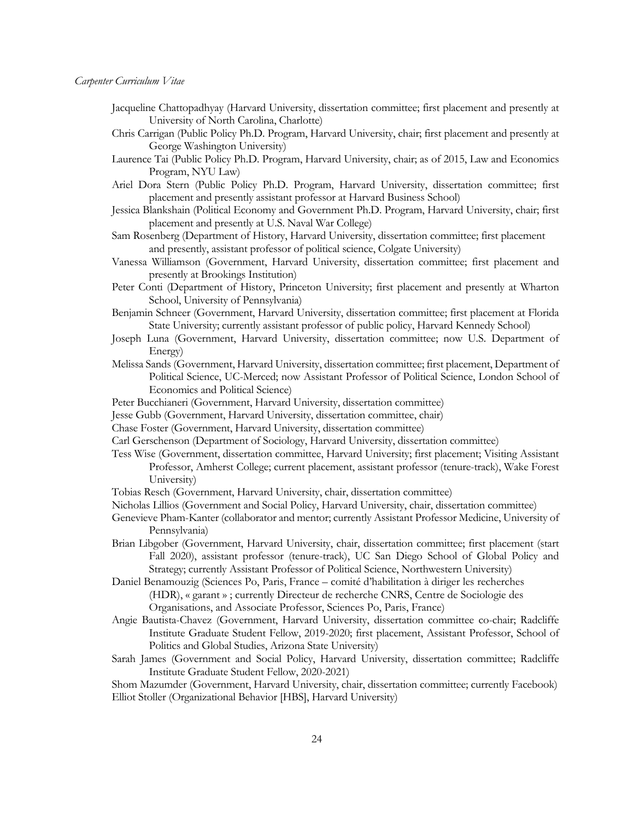- Jacqueline Chattopadhyay (Harvard University, dissertation committee; first placement and presently at University of North Carolina, Charlotte)
- Chris Carrigan (Public Policy Ph.D. Program, Harvard University, chair; first placement and presently at George Washington University)
- Laurence Tai (Public Policy Ph.D. Program, Harvard University, chair; as of 2015, Law and Economics Program, NYU Law)
- Ariel Dora Stern (Public Policy Ph.D. Program, Harvard University, dissertation committee; first placement and presently assistant professor at Harvard Business School)
- Jessica Blankshain (Political Economy and Government Ph.D. Program, Harvard University, chair; first placement and presently at U.S. Naval War College)
- Sam Rosenberg (Department of History, Harvard University, dissertation committee; first placement and presently, assistant professor of political science, Colgate University)
- Vanessa Williamson (Government, Harvard University, dissertation committee; first placement and presently at Brookings Institution)
- Peter Conti (Department of History, Princeton University; first placement and presently at Wharton School, University of Pennsylvania)
- Benjamin Schneer (Government, Harvard University, dissertation committee; first placement at Florida State University; currently assistant professor of public policy, Harvard Kennedy School)
- Joseph Luna (Government, Harvard University, dissertation committee; now U.S. Department of Energy)
- Melissa Sands (Government, Harvard University, dissertation committee; first placement, Department of Political Science, UC-Merced; now Assistant Professor of Political Science, London School of Economics and Political Science)
- Peter Bucchianeri (Government, Harvard University, dissertation committee)
- Jesse Gubb (Government, Harvard University, dissertation committee, chair)
- Chase Foster (Government, Harvard University, dissertation committee)
- Carl Gerschenson (Department of Sociology, Harvard University, dissertation committee)
- Tess Wise (Government, dissertation committee, Harvard University; first placement; Visiting Assistant Professor, Amherst College; current placement, assistant professor (tenure-track), Wake Forest University)
- Tobias Resch (Government, Harvard University, chair, dissertation committee)
- Nicholas Lillios (Government and Social Policy, Harvard University, chair, dissertation committee)
- Genevieve Pham-Kanter (collaborator and mentor; currently Assistant Professor Medicine, University of Pennsylvania)
- Brian Libgober (Government, Harvard University, chair, dissertation committee; first placement (start Fall 2020), assistant professor (tenure-track), UC San Diego School of Global Policy and Strategy; currently Assistant Professor of Political Science, Northwestern University)
- Daniel Benamouzig (Sciences Po, Paris, France comité d'habilitation à diriger les recherches (HDR), « garant » ; currently Directeur de recherche CNRS, Centre de Sociologie des Organisations, and Associate Professor, Sciences Po, Paris, France)
- Angie Bautista-Chavez (Government, Harvard University, dissertation committee co-chair; Radcliffe Institute Graduate Student Fellow, 2019-2020; first placement, Assistant Professor, School of Politics and Global Studies, Arizona State University)
- Sarah James (Government and Social Policy, Harvard University, dissertation committee; Radcliffe Institute Graduate Student Fellow, 2020-2021)

Shom Mazumder (Government, Harvard University, chair, dissertation committee; currently Facebook) Elliot Stoller (Organizational Behavior [HBS], Harvard University)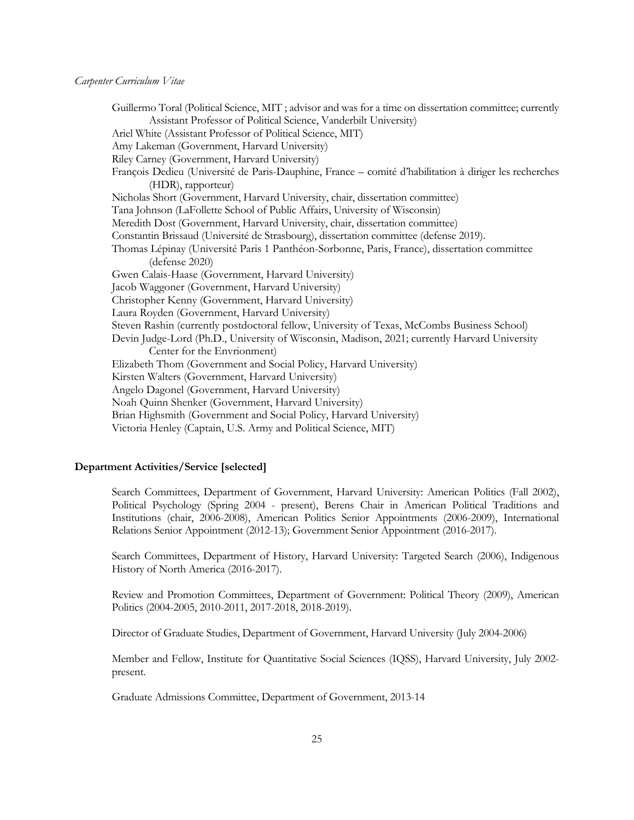Guillermo Toral (Political Science, MIT ; advisor and was for a time on dissertation committee; currently Assistant Professor of Political Science, Vanderbilt University) Ariel White (Assistant Professor of Political Science, MIT) Amy Lakeman (Government, Harvard University) Riley Carney (Government, Harvard University) François Dedieu (Université de Paris-Dauphine, France – comité d'habilitation à diriger les recherches (HDR), rapporteur) Nicholas Short (Government, Harvard University, chair, dissertation committee) Tana Johnson (LaFollette School of Public Affairs, University of Wisconsin) Meredith Dost (Government, Harvard University, chair, dissertation committee) Constantin Brissaud (Université de Strasbourg), dissertation committee (defense 2019). Thomas Lépinay (Université Paris 1 Panthéon-Sorbonne, Paris, France), dissertation committee (defense 2020) Gwen Calais-Haase (Government, Harvard University) Jacob Waggoner (Government, Harvard University) Christopher Kenny (Government, Harvard University) Laura Royden (Government, Harvard University) Steven Rashin (currently postdoctoral fellow, University of Texas, McCombs Business School) Devin Judge-Lord (Ph.D., University of Wisconsin, Madison, 2021; currently Harvard University Center for the Envrionment) Elizabeth Thom (Government and Social Policy, Harvard University) Kirsten Walters (Government, Harvard University) Angelo Dagonel (Government, Harvard University) Noah Quinn Shenker (Government, Harvard University) Brian Highsmith (Government and Social Policy, Harvard University) Victoria Henley (Captain, U.S. Army and Political Science, MIT)

## **Department Activities/Service [selected]**

Search Committees, Department of Government, Harvard University: American Politics (Fall 2002), Political Psychology (Spring 2004 - present), Berens Chair in American Political Traditions and Institutions (chair, 2006-2008), American Politics Senior Appointments (2006-2009), International Relations Senior Appointment (2012-13); Government Senior Appointment (2016-2017).

Search Committees, Department of History, Harvard University: Targeted Search (2006), Indigenous History of North America (2016-2017).

Review and Promotion Committees, Department of Government: Political Theory (2009), American Politics (2004-2005, 2010-2011, 2017-2018, 2018-2019).

Director of Graduate Studies, Department of Government, Harvard University (July 2004-2006)

Member and Fellow, Institute for Quantitative Social Sciences (IQSS), Harvard University, July 2002 present.

Graduate Admissions Committee, Department of Government, 2013-14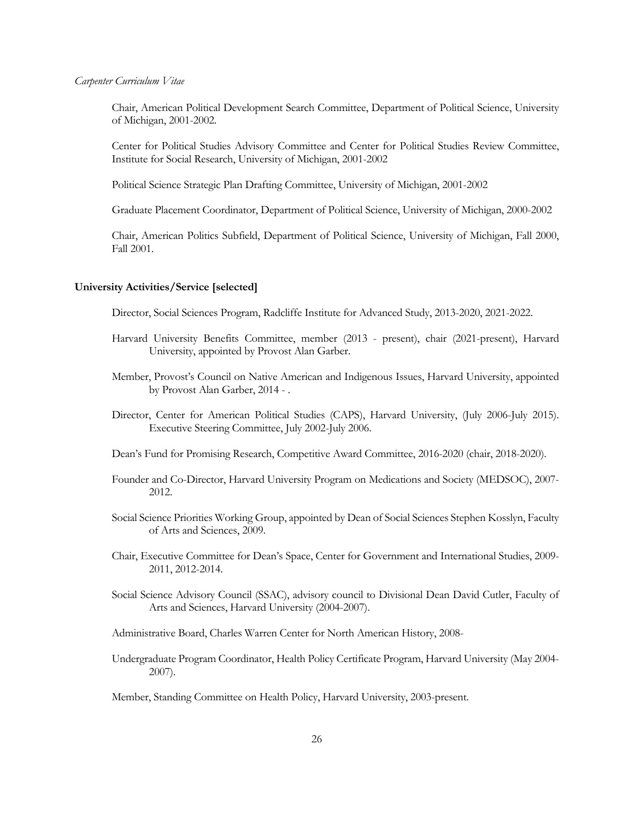Chair, American Political Development Search Committee, Department of Political Science, University of Michigan, 2001-2002.

Center for Political Studies Advisory Committee and Center for Political Studies Review Committee, Institute for Social Research, University of Michigan, 2001-2002

Political Science Strategic Plan Drafting Committee, University of Michigan, 2001-2002

Graduate Placement Coordinator, Department of Political Science, University of Michigan, 2000-2002

Chair, American Politics Subfield, Department of Political Science, University of Michigan, Fall 2000, Fall 2001.

#### **University Activities/Service [selected]**

Director, Social Sciences Program, Radcliffe Institute for Advanced Study, 2013-2020, 2021-2022.

- Harvard University Benefits Committee, member (2013 present), chair (2021-present), Harvard University, appointed by Provost Alan Garber.
- Member, Provost's Council on Native American and Indigenous Issues, Harvard University, appointed by Provost Alan Garber, 2014 - .
- Director, Center for American Political Studies (CAPS), Harvard University, (July 2006-July 2015). Executive Steering Committee, July 2002-July 2006.
- Dean's Fund for Promising Research, Competitive Award Committee, 2016-2020 (chair, 2018-2020).
- Founder and Co-Director, Harvard University Program on Medications and Society (MEDSOC), 2007- 2012.
- Social Science Priorities Working Group, appointed by Dean of Social Sciences Stephen Kosslyn, Faculty of Arts and Sciences, 2009.
- Chair, Executive Committee for Dean's Space, Center for Government and International Studies, 2009- 2011, 2012-2014.
- Social Science Advisory Council (SSAC), advisory council to Divisional Dean David Cutler, Faculty of Arts and Sciences, Harvard University (2004-2007).

Administrative Board, Charles Warren Center for North American History, 2008-

Undergraduate Program Coordinator, Health Policy Certificate Program, Harvard University (May 2004- 2007).

Member, Standing Committee on Health Policy, Harvard University, 2003-present.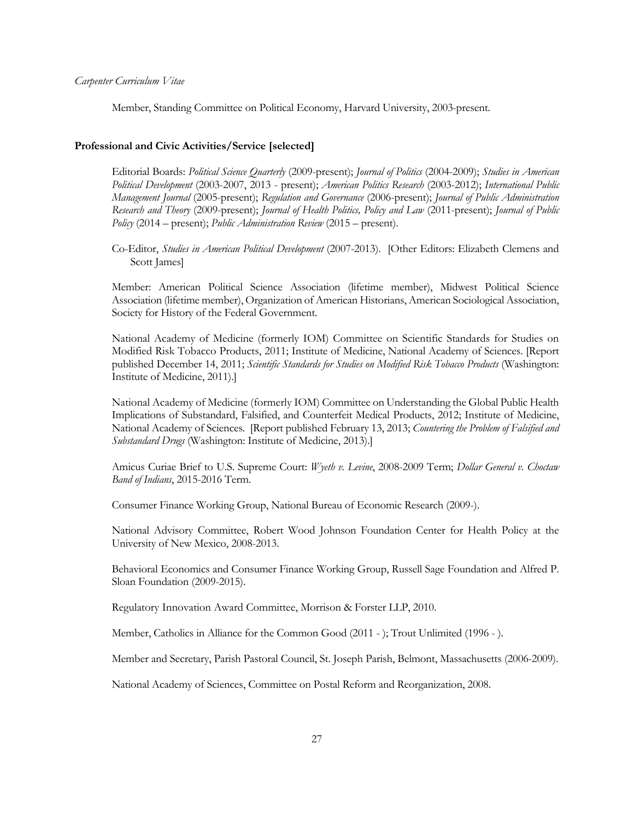Member, Standing Committee on Political Economy, Harvard University, 2003-present.

#### **Professional and Civic Activities/Service [selected]**

Editorial Boards: *Political Science Quarterly* (2009-present); *Journal of Politics* (2004-2009); *Studies in American Political Development* (2003-2007, 2013 - present); *American Politics Research* (2003-2012); *International Public Management Journal* (2005-present); *Regulation and Governance* (2006-present); *Journal of Public Administration Research and Theory* (2009-present); *Journal of Health Politics, Policy and Law* (2011-present); *Journal of Public Policy* (2014 – present); *Public Administration Review* (2015 – present).

Co-Editor, *Studies in American Political Development* (2007-2013). [Other Editors: Elizabeth Clemens and Scott James]

Member: American Political Science Association (lifetime member), Midwest Political Science Association (lifetime member), Organization of American Historians, American Sociological Association, Society for History of the Federal Government.

National Academy of Medicine (formerly IOM) Committee on Scientific Standards for Studies on Modified Risk Tobacco Products, 2011; Institute of Medicine, National Academy of Sciences. [Report published December 14, 2011; *Scientific Standards for Studies on Modified Risk Tobacco Products* (Washington: Institute of Medicine, 2011).]

National Academy of Medicine (formerly IOM) Committee on Understanding the Global Public Health Implications of Substandard, Falsified, and Counterfeit Medical Products, 2012; Institute of Medicine, National Academy of Sciences. [Report published February 13, 2013; *Countering the Problem of Falsified and Substandard Drugs* (Washington: Institute of Medicine, 2013).]

Amicus Curiae Brief to U.S. Supreme Court: *Wyeth v. Levine*, 2008-2009 Term; *Dollar General v. Choctaw Band of Indians*, 2015-2016 Term.

Consumer Finance Working Group, National Bureau of Economic Research (2009-).

National Advisory Committee, Robert Wood Johnson Foundation Center for Health Policy at the University of New Mexico, 2008-2013.

Behavioral Economics and Consumer Finance Working Group, Russell Sage Foundation and Alfred P. Sloan Foundation (2009-2015).

Regulatory Innovation Award Committee, Morrison & Forster LLP, 2010.

Member, Catholics in Alliance for the Common Good (2011 - ); Trout Unlimited (1996 - ).

Member and Secretary, Parish Pastoral Council, St. Joseph Parish, Belmont, Massachusetts (2006-2009).

National Academy of Sciences, Committee on Postal Reform and Reorganization, 2008.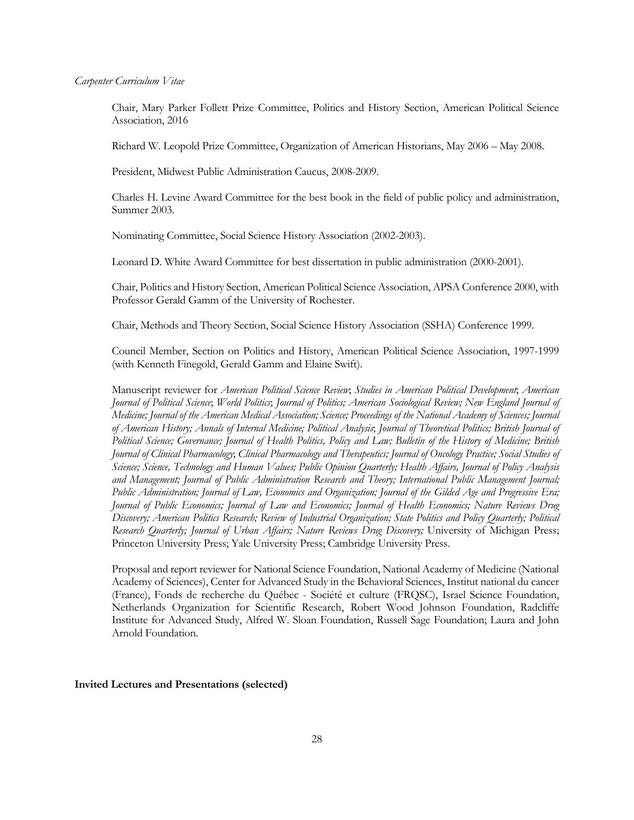Chair, Mary Parker Follett Prize Committee, Politics and History Section, American Political Science Association, 2016

Richard W. Leopold Prize Committee, Organization of American Historians, May 2006 – May 2008.

President, Midwest Public Administration Caucus, 2008-2009.

Charles H. Levine Award Committee for the best book in the field of public policy and administration, Summer 2003.

Nominating Committee, Social Science History Association (2002-2003).

Leonard D. White Award Committee for best dissertation in public administration (2000-2001).

Chair, Politics and History Section, American Political Science Association, APSA Conference 2000, with Professor Gerald Gamm of the University of Rochester.

Chair, Methods and Theory Section, Social Science History Association (SSHA) Conference 1999.

Council Member, Section on Politics and History, American Political Science Association, 1997-1999 (with Kenneth Finegold, Gerald Gamm and Elaine Swift).

Manuscript reviewer for *American Political Science Review*; *Studies in American Political Development*; *American Journal of Political Science*; *World Politics*; *Journal of Politics; American Sociological Review; New England Journal of Medicine; Journal of the American Medical Association; Science; Proceedings of the National Academy of Sciences; Journal of American History; Annals of Internal Medicine; Political Analysis*; *Journal of Theoretical Politics; British Journal of Political Science; Governance; Journal of Health Politics, Policy and Law; Bulletin of the History of Medicine; British Journal of Clinical Pharmacology*; *Clinical Pharmacology and Therapeutics; Journal of Oncology Practice; Social Studies of Science; Science, Technology and Human Values; Public Opinion Quarterly; Health Affairs, Journal of Policy Analysis and Management; Journal of Public Administration Research and Theory; International Public Management Journal; Public Administration; Journal of Law, Economics and Organization; Journal of the Gilded Age and Progressive Era; Journal of Public Economics; Journal of Law and Economics; Journal of Health Economics; Nature Reviews Drug Discovery; American Politics Research; Review of Industrial Organization; State Politics and Policy Quarterly; Political Research Quarterly; Journal of Urban Affairs; Nature Reviews Drug Discovery;* University of Michigan Press; Princeton University Press; Yale University Press; Cambridge University Press.

Proposal and report reviewer for National Science Foundation, National Academy of Medicine (National Academy of Sciences), Center for Advanced Study in the Behavioral Sciences, Institut national du cancer (France), Fonds de recherche du Québec - Société et culture (FRQSC), Israel Science Foundation, Netherlands Organization for Scientific Research, Robert Wood Johnson Foundation, Radcliffe Institute for Advanced Study, Alfred W. Sloan Foundation, Russell Sage Foundation; Laura and John Arnold Foundation.

#### **Invited Lectures and Presentations (selected)**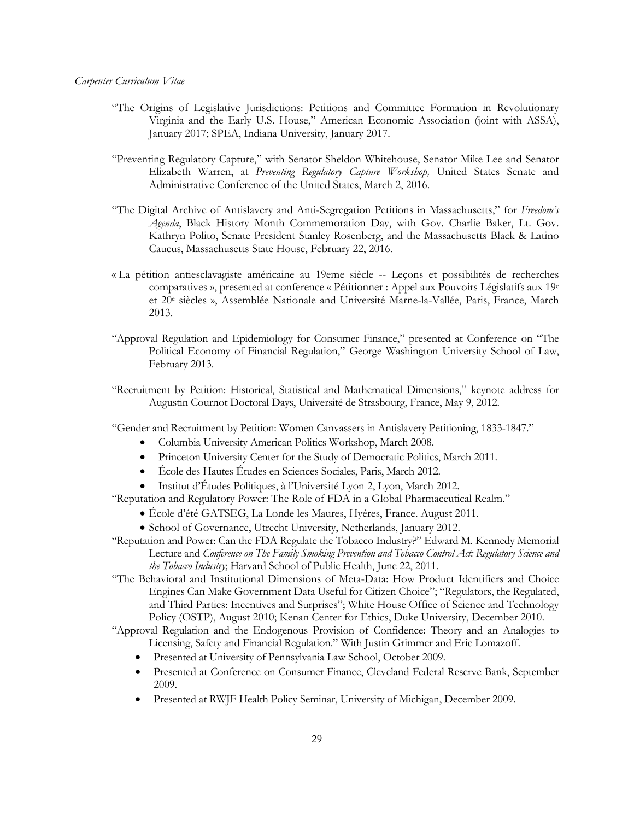- "The Origins of Legislative Jurisdictions: Petitions and Committee Formation in Revolutionary Virginia and the Early U.S. House," American Economic Association (joint with ASSA), January 2017; SPEA, Indiana University, January 2017.
- "Preventing Regulatory Capture," with Senator Sheldon Whitehouse, Senator Mike Lee and Senator Elizabeth Warren, at *Preventing Regulatory Capture Workshop,* United States Senate and Administrative Conference of the United States, March 2, 2016.
- "The Digital Archive of Antislavery and Anti-Segregation Petitions in Massachusetts," for *Freedom's Agenda*, Black History Month Commemoration Day, with Gov. Charlie Baker, Lt. Gov. Kathryn Polito, Senate President Stanley Rosenberg, and the Massachusetts Black & Latino Caucus, Massachusetts State House, February 22, 2016.
- « La pétition antiesclavagiste américaine au 19eme siècle -- Leçons et possibilités de recherches comparatives », presented at conference « Pétitionner : Appel aux Pouvoirs Législatifs aux 19e et 20e siècles », Assemblée Nationale and Université Marne-la-Vallée, Paris, France, March 2013.
- "Approval Regulation and Epidemiology for Consumer Finance," presented at Conference on "The Political Economy of Financial Regulation," George Washington University School of Law, February 2013.
- "Recruitment by Petition: Historical, Statistical and Mathematical Dimensions," keynote address for Augustin Cournot Doctoral Days, Université de Strasbourg, France, May 9, 2012.
- "Gender and Recruitment by Petition: Women Canvassers in Antislavery Petitioning, 1833-1847."
	- Columbia University American Politics Workshop, March 2008.
	- Princeton University Center for the Study of Democratic Politics, March 2011.
	- École des Hautes Études en Sciences Sociales, Paris, March 2012.
	- Institut d'Études Politiques, à l'Université Lyon 2, Lyon, March 2012.
- "Reputation and Regulatory Power: The Role of FDA in a Global Pharmaceutical Realm."
	- École d'été GATSEG, La Londe les Maures, Hyéres, France. August 2011.
	- School of Governance, Utrecht University, Netherlands, January 2012.
- "Reputation and Power: Can the FDA Regulate the Tobacco Industry?" Edward M. Kennedy Memorial Lecture and *Conference on The Family Smoking Prevention and Tobacco Control Act: Regulatory Science and the Tobacco Industry*; Harvard School of Public Health, June 22, 2011.
- "The Behavioral and Institutional Dimensions of Meta-Data: How Product Identifiers and Choice Engines Can Make Government Data Useful for Citizen Choice"; "Regulators, the Regulated, and Third Parties: Incentives and Surprises"; White House Office of Science and Technology Policy (OSTP), August 2010; Kenan Center for Ethics, Duke University, December 2010.
- "Approval Regulation and the Endogenous Provision of Confidence: Theory and an Analogies to Licensing, Safety and Financial Regulation." With Justin Grimmer and Eric Lomazoff.
	- Presented at University of Pennsylvania Law School, October 2009.
	- Presented at Conference on Consumer Finance, Cleveland Federal Reserve Bank, September 2009.
	- Presented at RWJF Health Policy Seminar, University of Michigan, December 2009.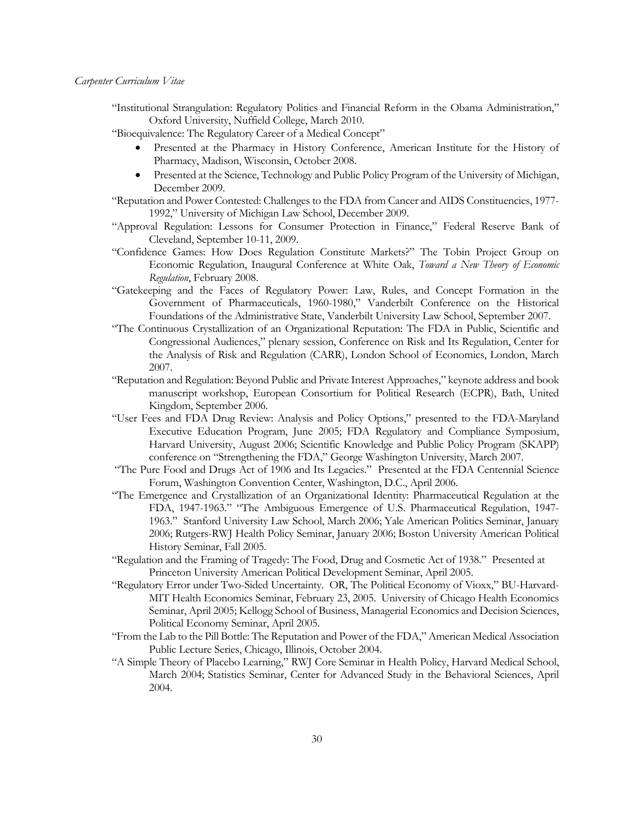"Institutional Strangulation: Regulatory Politics and Financial Reform in the Obama Administration," Oxford University, Nuffield College, March 2010.

"Bioequivalence: The Regulatory Career of a Medical Concept"

- Presented at the Pharmacy in History Conference, American Institute for the History of Pharmacy, Madison, Wisconsin, October 2008.
- Presented at the Science, Technology and Public Policy Program of the University of Michigan, December 2009.
- "Reputation and Power Contested: Challenges to the FDA from Cancer and AIDS Constituencies, 1977- 1992," University of Michigan Law School, December 2009.
- "Approval Regulation: Lessons for Consumer Protection in Finance," Federal Reserve Bank of Cleveland, September 10-11, 2009.
- "Confidence Games: How Does Regulation Constitute Markets?" The Tobin Project Group on Economic Regulation, Inaugural Conference at White Oak, *Toward a New Theory of Economic Regulation*, February 2008.
- "Gatekeeping and the Faces of Regulatory Power: Law, Rules, and Concept Formation in the Government of Pharmaceuticals, 1960-1980," Vanderbilt Conference on the Historical Foundations of the Administrative State, Vanderbilt University Law School, September 2007.
- "The Continuous Crystallization of an Organizational Reputation: The FDA in Public, Scientific and Congressional Audiences," plenary session, Conference on Risk and Its Regulation, Center for the Analysis of Risk and Regulation (CARR), London School of Economics, London, March 2007.
- "Reputation and Regulation: Beyond Public and Private Interest Approaches," keynote address and book manuscript workshop, European Consortium for Political Research (ECPR), Bath, United Kingdom, September 2006.
- "User Fees and FDA Drug Review: Analysis and Policy Options," presented to the FDA-Maryland Executive Education Program, June 2005; FDA Regulatory and Compliance Symposium, Harvard University, August 2006; Scientific Knowledge and Public Policy Program (SKAPP) conference on "Strengthening the FDA," George Washington University, March 2007.
- "The Pure Food and Drugs Act of 1906 and Its Legacies." Presented at the FDA Centennial Science Forum, Washington Convention Center, Washington, D.C., April 2006.
- "The Emergence and Crystallization of an Organizational Identity: Pharmaceutical Regulation at the FDA, 1947-1963." "The Ambiguous Emergence of U.S. Pharmaceutical Regulation, 1947- 1963." Stanford University Law School, March 2006; Yale American Politics Seminar, January 2006; Rutgers-RWJ Health Policy Seminar, January 2006; Boston University American Political History Seminar, Fall 2005.
- "Regulation and the Framing of Tragedy: The Food, Drug and Cosmetic Act of 1938." Presented at Princeton University American Political Development Seminar, April 2005.
- "Regulatory Error under Two-Sided Uncertainty. OR, The Political Economy of Vioxx," BU-Harvard-MIT Health Economics Seminar, February 23, 2005. University of Chicago Health Economics Seminar, April 2005; Kellogg School of Business, Managerial Economics and Decision Sciences, Political Economy Seminar, April 2005.
- "From the Lab to the Pill Bottle: The Reputation and Power of the FDA," American Medical Association Public Lecture Series, Chicago, Illinois, October 2004.
- "A Simple Theory of Placebo Learning," RWJ Core Seminar in Health Policy, Harvard Medical School, March 2004; Statistics Seminar, Center for Advanced Study in the Behavioral Sciences, April 2004.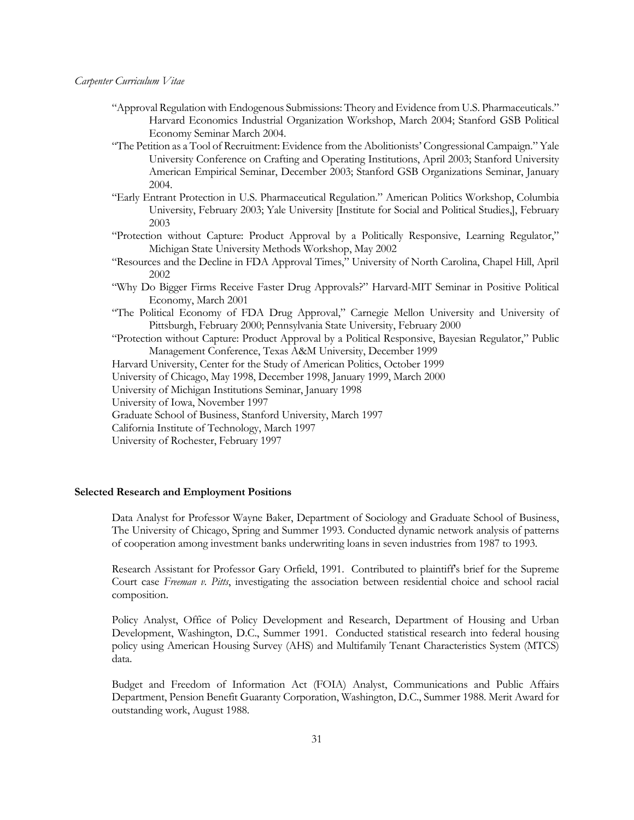- "Approval Regulation with Endogenous Submissions: Theory and Evidence from U.S. Pharmaceuticals." Harvard Economics Industrial Organization Workshop, March 2004; Stanford GSB Political Economy Seminar March 2004.
- "The Petition as a Tool of Recruitment: Evidence from the Abolitionists' Congressional Campaign." Yale University Conference on Crafting and Operating Institutions, April 2003; Stanford University American Empirical Seminar, December 2003; Stanford GSB Organizations Seminar, January 2004.
- "Early Entrant Protection in U.S. Pharmaceutical Regulation." American Politics Workshop, Columbia University, February 2003; Yale University [Institute for Social and Political Studies,], February 2003
- "Protection without Capture: Product Approval by a Politically Responsive, Learning Regulator," Michigan State University Methods Workshop, May 2002
- "Resources and the Decline in FDA Approval Times," University of North Carolina, Chapel Hill, April 2002
- "Why Do Bigger Firms Receive Faster Drug Approvals?" Harvard-MIT Seminar in Positive Political Economy, March 2001
- "The Political Economy of FDA Drug Approval," Carnegie Mellon University and University of Pittsburgh, February 2000; Pennsylvania State University, February 2000
- "Protection without Capture: Product Approval by a Political Responsive, Bayesian Regulator," Public Management Conference, Texas A&M University, December 1999
- Harvard University, Center for the Study of American Politics, October 1999
- University of Chicago, May 1998, December 1998, January 1999, March 2000

University of Michigan Institutions Seminar, January 1998

University of Iowa, November 1997

Graduate School of Business, Stanford University, March 1997

California Institute of Technology, March 1997

University of Rochester, February 1997

#### **Selected Research and Employment Positions**

Data Analyst for Professor Wayne Baker, Department of Sociology and Graduate School of Business, The University of Chicago, Spring and Summer 1993. Conducted dynamic network analysis of patterns of cooperation among investment banks underwriting loans in seven industries from 1987 to 1993.

Research Assistant for Professor Gary Orfield, 1991. Contributed to plaintiff's brief for the Supreme Court case *Freeman v. Pitts*, investigating the association between residential choice and school racial composition.

Policy Analyst, Office of Policy Development and Research, Department of Housing and Urban Development, Washington, D.C., Summer 1991. Conducted statistical research into federal housing policy using American Housing Survey (AHS) and Multifamily Tenant Characteristics System (MTCS) data.

Budget and Freedom of Information Act (FOIA) Analyst, Communications and Public Affairs Department, Pension Benefit Guaranty Corporation, Washington, D.C., Summer 1988. Merit Award for outstanding work, August 1988.